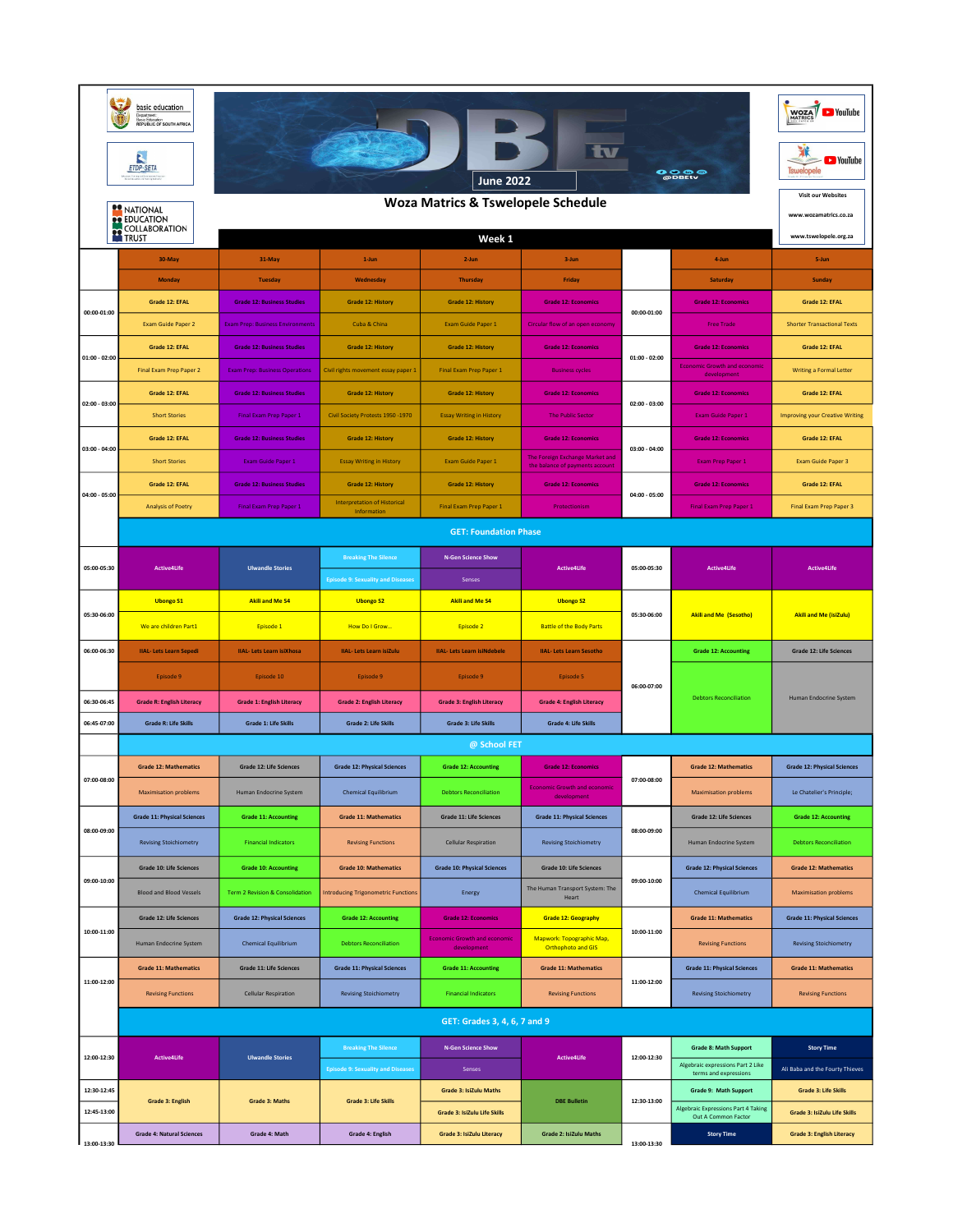|                 | basic education<br>Department<br>Basic Education<br>REPUBLIC OF SOUTH AFRICA<br>N<br>ETDP-SETA | WOZA VouTube<br>tv<br><b>D</b> YouTube<br>Tswelopele<br>$\bullet$ $\bullet$ $\bullet$ $\bullet$<br>June 2022<br><b>Visit our Websites</b> |                                                                         |                                                    |                                                                   |                 |                                                                   |                                        |
|-----------------|------------------------------------------------------------------------------------------------|-------------------------------------------------------------------------------------------------------------------------------------------|-------------------------------------------------------------------------|----------------------------------------------------|-------------------------------------------------------------------|-----------------|-------------------------------------------------------------------|----------------------------------------|
|                 | <b>22 NATIONAL</b><br><b>OP EDUCATION</b>                                                      | <b>Woza Matrics &amp; Tswelopele Schedule</b>                                                                                             |                                                                         |                                                    |                                                                   |                 |                                                                   |                                        |
|                 | <b>COLLABORATION</b>                                                                           |                                                                                                                                           |                                                                         | Week 1                                             |                                                                   |                 |                                                                   | www.tswelopele.org.za                  |
|                 | 30-May                                                                                         | 31-May                                                                                                                                    | 1-Jun                                                                   | 2-Jun                                              | 3-Jun                                                             |                 | 4-Jun                                                             | 5-Jun                                  |
|                 | Monday                                                                                         | <b>Tuesday</b>                                                                                                                            | Wednesday                                                               | Thursday                                           | Friday                                                            |                 | Saturday                                                          | Sunday                                 |
| 00:00-01:00     | Grade 12: EFAL                                                                                 | <b>Grade 12: Business Studies</b>                                                                                                         | <b>Grade 12: History</b>                                                | <b>Grade 12: History</b>                           | <b>Grade 12: Economics</b>                                        | 00:00-01:00     | <b>Grade 12: Economics</b>                                        | Grade 12: EFAL                         |
|                 | Exam Guide Paper 2                                                                             | Exam Prep: Business Environments                                                                                                          | Cuba & China                                                            | Exam Guide Paper 1                                 | Circular flow of an open economy                                  |                 | <b>Free Trade</b>                                                 | <b>Shorter Transactional Texts</b>     |
| $01:00 - 02:00$ | Grade 12: EFAL                                                                                 | <b>Grade 12: Business Studies</b>                                                                                                         | Grade 12: History                                                       | <b>Grade 12: History</b>                           | <b>Grade 12: Economics</b>                                        | $01:00 - 02:00$ | <b>Grade 12: Economics</b>                                        | Grade 12: EFAL                         |
|                 | Final Exam Prep Paper 2                                                                        | <b>Exam Prep: Business Operations</b>                                                                                                     | Civil rights movement essay paper 1                                     | Final Exam Prep Paper 1                            | <b>Business cycles</b>                                            |                 | <b>Economic Growth and economic</b><br>development                | <b>Writing a Formal Letter</b>         |
| $02:00 - 03:00$ | Grade 12: EFAL                                                                                 | <b>Grade 12: Business Studies</b>                                                                                                         | <b>Grade 12: History</b>                                                | <b>Grade 12: History</b>                           | <b>Grade 12: Economics</b>                                        | 02:00 - 03:00   | <b>Grade 12: Economics</b>                                        | Grade 12: EFAL                         |
|                 | <b>Short Stories</b>                                                                           | Final Exam Prep Paper 1                                                                                                                   | Civil Society Protests 1950 -1970                                       | <b>Essay Writing in History</b>                    | <b>The Public Sector</b>                                          |                 | Exam Guide Paper 1                                                | <b>Improving your Creative Writing</b> |
| $03:00 - 04:00$ | Grade 12: EFAL                                                                                 | <b>Grade 12: Business Studies</b>                                                                                                         | Grade 12: History                                                       | <b>Grade 12: History</b>                           | <b>Grade 12: Economics</b>                                        | $03:00 - 04:00$ | <b>Grade 12: Economics</b>                                        | Grade 12: EFAL                         |
|                 | <b>Short Stories</b>                                                                           | Exam Guide Paper 1                                                                                                                        | <b>Essay Writing in History</b>                                         | Exam Guide Paper 1                                 | The Foreign Exchange Market and<br>the balance of payments accoun |                 | Exam Prep Paper 1                                                 | Exam Guide Paper 3                     |
| 04:00 - 05:00   | Grade 12: EFAL                                                                                 | <b>Grade 12: Business Studies</b>                                                                                                         | Grade 12: History                                                       | <b>Grade 12: History</b>                           | <b>Grade 12: Economics</b>                                        | 04:00 - 05:00   | <b>Grade 12: Economics</b>                                        | Grade 12: EFAL                         |
|                 | <b>Analysis of Poetry</b>                                                                      | Final Exam Prep Paper 1                                                                                                                   | <b>Interpretation of Historical</b><br>Information                      | Final Exam Prep Paper 1                            | Protectionism                                                     |                 | Final Exam Prep Paper 1                                           | Final Exam Prep Paper 3                |
|                 |                                                                                                |                                                                                                                                           |                                                                         | <b>GET: Foundation Phase</b>                       |                                                                   |                 |                                                                   |                                        |
| 05:00-05:30     | <b>Active4Life</b>                                                                             | <b>Ulwandle Stories</b>                                                                                                                   | <b>Breaking The Silence</b><br><b>Episode 9: Sexuality and Diseases</b> | <b>N-Gen Science Show</b><br>Senses                | <b>Active4Life</b>                                                | 05:00-05:30     | <b>Active4Life</b>                                                | <b>Active4Life</b>                     |
|                 | <b>Ubongo S1</b>                                                                               | <b>Akili and Me S4</b>                                                                                                                    | <b>Ubongo S2</b>                                                        | <b>Akili and Me S4</b>                             | <b>Ubongo S2</b>                                                  | 05:30-06:00     |                                                                   |                                        |
| 05:30-06:00     | We are children Part1                                                                          | Episode 1                                                                                                                                 | How Do I Grow                                                           | Episode 2                                          | <b>Battle of the Body Parts</b>                                   |                 | <b>Akili and Me (Sesotho)</b>                                     | <b>Akili and Me (isiZulu)</b>          |
| 06:00-06:30     | <b>IIAL-Lets Learn Sepedi</b>                                                                  | <b>IIAL-Lets Learn isiXhosa</b>                                                                                                           | <b>IIAL-Lets Learn isiZulu</b>                                          | <b>IIAL-Lets Learn isiNdebele</b>                  | <b>IIAL-Lets Learn Sesotho</b>                                    |                 | <b>Grade 12: Accounting</b>                                       | Grade 12: Life Sciences                |
|                 | Episode 9                                                                                      | Episode 10                                                                                                                                | Episode 9                                                               | Episode 9                                          | Episode 5                                                         | 06:00-07:00     |                                                                   |                                        |
| 06:30-06:45     | <b>Grade R: English Literacy</b>                                                               | <b>Grade 1: English Literacy</b>                                                                                                          | <b>Grade 2: English Literacy</b>                                        | <b>Grade 3: English Literacy</b>                   | <b>Grade 4: English Literacy</b>                                  |                 | <b>Debtors Reconciliation</b>                                     | <b>Human Endocrine System</b>          |
| 06:45-07:00     | <b>Grade R: Life Skills</b>                                                                    | <b>Grade 1: Life Skills</b>                                                                                                               | <b>Grade 2: Life Skills</b>                                             | <b>Grade 3: Life Skills</b>                        | <b>Grade 4: Life Skills</b>                                       |                 |                                                                   |                                        |
|                 |                                                                                                |                                                                                                                                           |                                                                         | @ School FET                                       |                                                                   |                 |                                                                   |                                        |
| 07:00-08:00     | <b>Grade 12: Mathematics</b>                                                                   | <b>Grade 12: Life Sciences</b>                                                                                                            | <b>Grade 12: Physical Sciences</b>                                      | <b>Grade 12: Accounting</b>                        | <b>Grade 12: Economics</b>                                        | 07:00-08:00     | <b>Grade 12: Mathematics</b>                                      | <b>Grade 12: Physical Sciences</b>     |
|                 | <b>Maximisation problems</b>                                                                   | Human Endocrine System                                                                                                                    | <b>Chemical Equilibrium</b>                                             | <b>Debtors Reconciliation</b>                      | <b>Economic Growth and economic</b><br>development                |                 | <b>Maximisation problems</b>                                      | Le Chatelier's Principle;              |
|                 | <b>Grade 11: Physical Sciences</b>                                                             | <b>Grade 11: Accounting</b>                                                                                                               | <b>Grade 11: Mathematics</b>                                            | <b>Grade 11: Life Sciences</b>                     | <b>Grade 11: Physical Sciences</b>                                |                 | <b>Grade 12: Life Sciences</b>                                    | <b>Grade 12: Accounting</b>            |
| 08:00-09:00     | <b>Revising Stoichiometry</b>                                                                  | <b>Financial Indicators</b>                                                                                                               | <b>Revising Functions</b>                                               | <b>Cellular Respiration</b>                        | <b>Revising Stoichiometry</b>                                     | 08:00-09:00     | Human Endocrine System                                            | <b>Debtors Reconciliation</b>          |
|                 | Grade 10: Life Sciences                                                                        | <b>Grade 10: Accounting</b>                                                                                                               | <b>Grade 10: Mathematics</b>                                            | <b>Grade 10: Physical Sciences</b>                 | <b>Grade 10: Life Sciences</b>                                    |                 | <b>Grade 12: Physical Sciences</b>                                | <b>Grade 12: Mathematics</b>           |
| 09:00-10:00     | <b>Blood and Blood Vessels</b>                                                                 | Term 2 Revision & Consolidation                                                                                                           | <b>Introducing Trigonometric Functions</b>                              | Energy                                             | The Human Transport System: The<br>Heart                          | 09:00-10:00     | Chemical Equilibrium                                              | <b>Maximisation problems</b>           |
|                 | <b>Grade 12: Life Sciences</b>                                                                 | <b>Grade 12: Physical Sciences</b>                                                                                                        | <b>Grade 12: Accounting</b>                                             | <b>Grade 12: Economics</b>                         | <b>Grade 12: Geography</b>                                        |                 | <b>Grade 11: Mathematics</b>                                      | <b>Grade 11: Physical Sciences</b>     |
| 10:00-11:00     | Human Endocrine System                                                                         | <b>Chemical Equilibrium</b>                                                                                                               | <b>Debtors Reconciliation</b>                                           | <b>Economic Growth and economic</b><br>development | Mapwork: Topographic Map,<br>Orthophoto and GIS                   | 10:00-11:00     | <b>Revising Functions</b>                                         | <b>Revising Stoichiometry</b>          |
| 11:00-12:00     | <b>Grade 11: Mathematics</b>                                                                   | <b>Grade 11: Life Sciences</b>                                                                                                            | <b>Grade 11: Physical Sciences</b>                                      | <b>Grade 11: Accounting</b>                        | <b>Grade 11: Mathematics</b>                                      | 11:00-12:00     | <b>Grade 11: Physical Sciences</b>                                | <b>Grade 11: Mathematics</b>           |
|                 | <b>Revising Functions</b>                                                                      | <b>Cellular Respiration</b>                                                                                                               | <b>Revising Stoichiometry</b>                                           | <b>Financial Indicators</b>                        | <b>Revising Functions</b>                                         |                 | <b>Revising Stoichiometry</b>                                     | <b>Revising Functions</b>              |
|                 |                                                                                                |                                                                                                                                           |                                                                         | GET: Grades 3, 4, 6, 7 and 9                       |                                                                   |                 |                                                                   |                                        |
|                 |                                                                                                |                                                                                                                                           | <b>Breaking The Silence</b>                                             | <b>N-Gen Science Show</b>                          |                                                                   |                 | <b>Grade 8: Math Support</b>                                      | <b>Story Time</b>                      |
| 12:00-12:30     | <b>Active4Life</b>                                                                             | <b>Ulwandle Stories</b>                                                                                                                   | <b>Episode 9: Sexuality and Diseases</b>                                | Senses                                             | Active4Life                                                       | 12:00-12:30     | Algebraic expressions Part 2 Like<br>terms and expressions        | Ali Baba and the Fourty Thieves        |
| 12:30-12:45     |                                                                                                |                                                                                                                                           |                                                                         | Grade 3: IsiZulu Maths                             |                                                                   |                 | Grade 9: Math Support                                             | <b>Grade 3: Life Skills</b>            |
| 12:45-13:00     | <b>Grade 3: English</b>                                                                        | <b>Grade 3: Maths</b>                                                                                                                     | <b>Grade 3: Life Skills</b>                                             | Grade 3: IsiZulu Life Skills                       | <b>DBE Bulletin</b>                                               | 12:30-13:00     | <b>Algebraic Expressions Part 4 Taking</b><br>Out A Common Factor | Grade 3: IsiZulu Life Skills           |
| 13:00-13:30     | <b>Grade 4: Natural Sciences</b>                                                               | Grade 4: Math                                                                                                                             | Grade 4: English                                                        | Grade 3: IsiZulu Literacy                          | Grade 2: IsiZulu Maths                                            | 13:00-13:30     | <b>Story Time</b>                                                 | <b>Grade 3: English Literacy</b>       |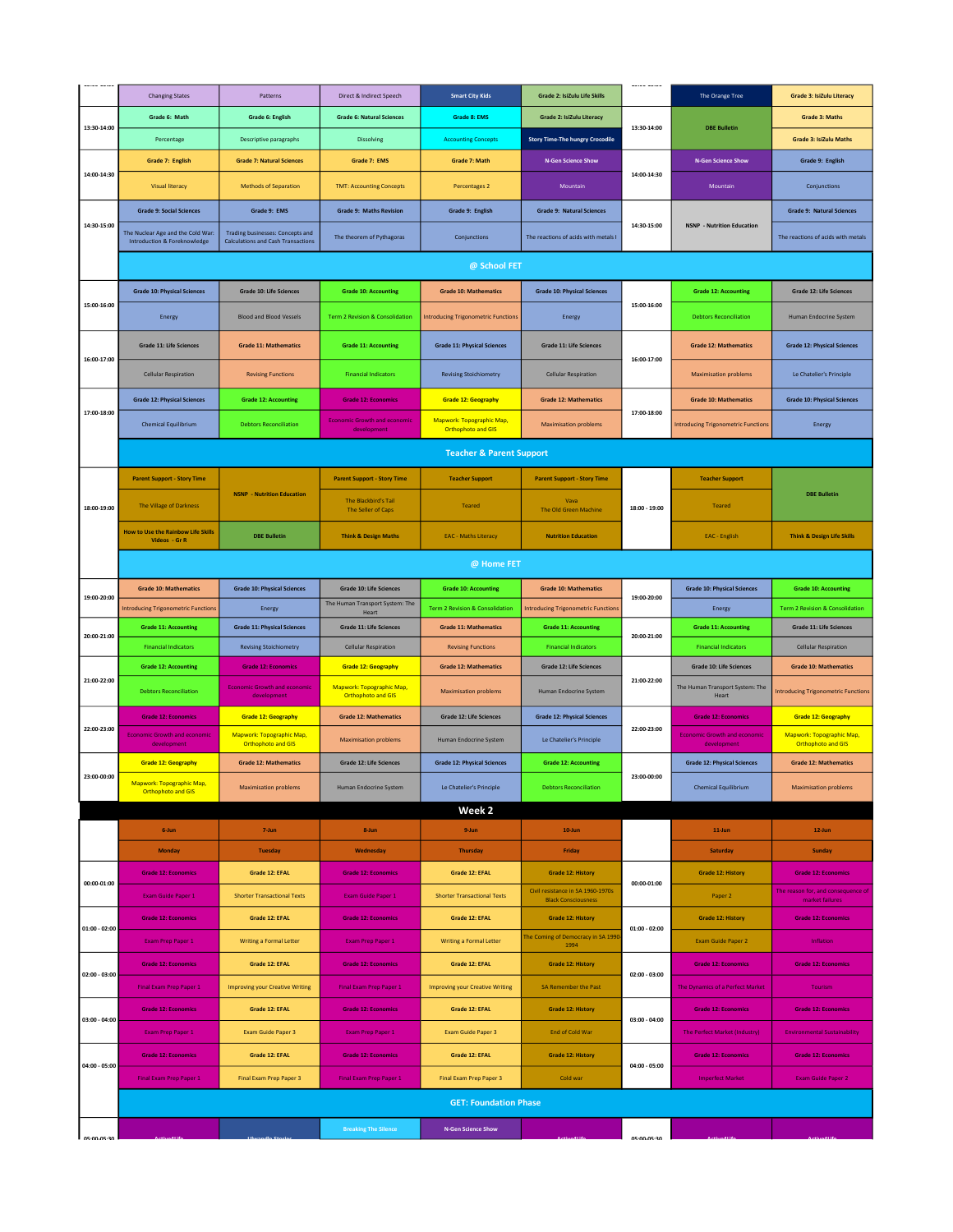|                 |                                                                              |                                                                                      |                                                        |                                                 |                                                                 | AUTOM AUTOM     |                                                    |                                                               |
|-----------------|------------------------------------------------------------------------------|--------------------------------------------------------------------------------------|--------------------------------------------------------|-------------------------------------------------|-----------------------------------------------------------------|-----------------|----------------------------------------------------|---------------------------------------------------------------|
|                 | <b>Changing States</b>                                                       | Patterns                                                                             | Direct & Indirect Speech                               | <b>Smart City Kids</b>                          | Grade 2: IsiZulu Life Skills                                    |                 | The Orange Tree                                    | <b>Grade 3: IsiZulu Literacy</b>                              |
| 13:30-14:00     | Grade 6: Math                                                                | Grade 6: English                                                                     | <b>Grade 6: Natural Sciences</b>                       | <b>Grade 8: EMS</b>                             | <b>Grade 2: IsiZulu Literacy</b>                                | 13:30-14:00     | <b>DBE Bulletin</b>                                | <b>Grade 3: Maths</b>                                         |
|                 | Percentage                                                                   | Descriptive paragraphs                                                               | Dissolving                                             | <b>Accounting Concepts</b>                      | <b>Story Time-The hungry Crocodile</b>                          |                 |                                                    | <b>Grade 3: IsiZulu Maths</b>                                 |
|                 | Grade 7: English                                                             | <b>Grade 7: Natural Sciences</b>                                                     | Grade 7: EMS                                           | Grade 7: Math                                   | <b>N-Gen Science Show</b>                                       |                 | <b>N-Gen Science Show</b>                          | Grade 9: English                                              |
| 14:00-14:30     | <b>Visual literacy</b>                                                       | <b>Methods of Separation</b>                                                         | <b>TMT: Accounting Concepts</b>                        | Percentages 2                                   | Mountain                                                        | 14:00-14:30     | Mountain                                           | Conjunctions                                                  |
|                 | <b>Grade 9: Social Sciences</b>                                              | Grade 9: EMS                                                                         | <b>Grade 9: Maths Revision</b>                         | Grade 9: English                                | <b>Grade 9: Natural Sciences</b>                                |                 |                                                    | <b>Grade 9: Natural Sciences</b>                              |
| 14:30-15:00     | The Nuclear Age and the Cold War:<br><b>Introduction &amp; Foreknowledge</b> | <b>Trading businesses: Concepts and</b><br><b>Calculations and Cash Transactions</b> | The theorem of Pythagoras                              | Conjunctions                                    | The reactions of acids with metals I                            | 14:30-15:00     | <b>NSNP</b> - Nutrition Education                  | The reactions of acids with metals                            |
|                 |                                                                              |                                                                                      |                                                        | @ School FET                                    |                                                                 |                 |                                                    |                                                               |
|                 | <b>Grade 10: Physical Sciences</b>                                           | <b>Grade 10: Life Sciences</b>                                                       | <b>Grade 10: Accounting</b>                            | <b>Grade 10: Mathematics</b>                    | <b>Grade 10: Physical Sciences</b>                              |                 | <b>Grade 12: Accounting</b>                        | <b>Grade 12: Life Sciences</b>                                |
| 15:00-16:00     | Energy                                                                       | <b>Blood and Blood Vessels</b>                                                       | Term 2 Revision & Consolidation                        | <b>Introducing Trigonometric Functions</b>      | Energy                                                          | 15:00-16:00     | <b>Debtors Reconciliation</b>                      | Human Endocrine System                                        |
|                 |                                                                              |                                                                                      |                                                        |                                                 |                                                                 |                 |                                                    |                                                               |
| 16:00-17:00     | <b>Grade 11: Life Sciences</b>                                               | <b>Grade 11: Mathematics</b>                                                         | <b>Grade 11: Accounting</b>                            | <b>Grade 11: Physical Sciences</b>              | <b>Grade 11: Life Sciences</b>                                  | 16:00-17:00     | <b>Grade 12: Mathematics</b>                       | <b>Grade 12: Physical Sciences</b>                            |
|                 | <b>Cellular Respiration</b>                                                  | <b>Revising Functions</b>                                                            | <b>Financial Indicators</b>                            | <b>Revising Stoichiometry</b>                   | <b>Cellular Respiration</b>                                     |                 | <b>Maximisation problems</b>                       | Le Chatelier's Principle                                      |
|                 | <b>Grade 12: Physical Sciences</b>                                           | <b>Grade 12: Accounting</b>                                                          | <b>Grade 12: Economics</b>                             | <b>Grade 12: Geography</b>                      | <b>Grade 12: Mathematics</b>                                    |                 | <b>Grade 10: Mathematics</b>                       | <b>Grade 10: Physical Sciences</b>                            |
| 17:00-18:00     | <b>Chemical Equilibrium</b>                                                  | <b>Debtors Reconciliation</b>                                                        | <b>Economic Growth and economic</b><br>development     | Mapwork: Topographic Map,<br>Orthophoto and GIS | <b>Maximisation problems</b>                                    | 17:00-18:00     | <b>Introducing Trigonometric Functions</b>         | Energy                                                        |
|                 |                                                                              |                                                                                      |                                                        | <b>Teacher &amp; Parent Support</b>             |                                                                 |                 |                                                    |                                                               |
|                 | <b>Parent Support - Story Time</b>                                           |                                                                                      | <b>Parent Support - Story Time</b>                     | <b>Teacher Support</b>                          | <b>Parent Support - Story Time</b>                              |                 | <b>Teacher Support</b>                             |                                                               |
| 18:00-19:00     | The Village of Darkness                                                      | <b>NSNP - Nutrition Education</b>                                                    | <b>The Blackbird's Tail</b><br>The Seller of Caps      | <b>Teared</b>                                   | Vava<br>The Old Green Machine                                   | 18:00 - 19:00   | Teared                                             | <b>DBE Bulletin</b>                                           |
|                 | <b>How to Use the Rainbow Life Skills</b><br>Videos - Gr R                   | <b>DBE Bulletin</b>                                                                  | <b>Think &amp; Design Maths</b>                        | <b>EAC - Maths Literacy</b>                     | <b>Nutrition Education</b>                                      |                 | EAC - English                                      | <b>Think &amp; Design Life Skills</b>                         |
|                 |                                                                              |                                                                                      |                                                        | @ Home FET                                      |                                                                 |                 |                                                    |                                                               |
|                 | <b>Grade 10: Mathematics</b>                                                 | <b>Grade 10: Physical Sciences</b>                                                   | <b>Grade 10: Life Sciences</b>                         | <b>Grade 10: Accounting</b>                     | <b>Grade 10: Mathematics</b>                                    |                 | <b>Grade 10: Physical Sciences</b>                 | <b>Grade 10: Accounting</b>                                   |
| 19:00-20:00     | <b>Introducing Trigonometric Function:</b>                                   | Energy                                                                               | The Human Transport System: The                        | Term 2 Revision & Consolidation                 | <b>Introducing Trigonometric Function:</b>                      | 19:00-20:00     | Energy                                             | Term 2 Revision & Consolidation                               |
|                 | <b>Grade 11: Accounting</b>                                                  | <b>Grade 11: Physical Sciences</b>                                                   | Heart<br><b>Grade 11: Life Sciences</b>                | <b>Grade 11: Mathematics</b>                    | <b>Grade 11: Accounting</b>                                     |                 | <b>Grade 11: Accounting</b>                        | Grade 11: Life Sciences                                       |
| 20:00-21:00     | <b>Financial Indicators</b>                                                  | <b>Revising Stoichiometry</b>                                                        | <b>Cellular Respiration</b>                            | <b>Revising Functions</b>                       | <b>Financial Indicators</b>                                     | 20:00-21:00     | <b>Financial Indicators</b>                        | <b>Cellular Respiration</b>                                   |
|                 | <b>Grade 12: Accounting</b>                                                  | <b>Grade 12: Economics</b>                                                           | <b>Grade 12: Geography</b>                             | <b>Grade 12: Mathematics</b>                    | <b>Grade 12: Life Sciences</b>                                  |                 | Grade 10: Life Sciences                            | <b>Grade 10: Mathematics</b>                                  |
| 21:00-22:00     | <b>Debtors Reconciliation</b>                                                | <b>Economic Growth and economic</b><br>development                                   | Mapwork: Topographic Map,<br><b>Orthophoto and GIS</b> | <b>Maximisation problems</b>                    | Human Endocrine System                                          | 21:00-22:00     | The Human Transport System: The<br>Heart           | <b>Introducing Trigonometric Functions</b>                    |
|                 | <b>Grade 12: Economics</b>                                                   | <b>Grade 12: Geography</b>                                                           | <b>Grade 12: Mathematics</b>                           | Grade 12: Life Sciences                         | <b>Grade 12: Physical Sciences</b>                              |                 | <b>Grade 12: Economics</b>                         | <b>Grade 12: Geography</b>                                    |
| 22:00-23:00     | <b>Economic Growth and economic</b><br>development                           | Mapwork: Topographic Map,<br><b>Orthophoto and GIS</b>                               | <b>Maximisation problems</b>                           | Human Endocrine System                          | Le Chatelier's Principle                                        | 22:00-23:00     | <b>Economic Growth and economic</b><br>development | <b>Mapwork: Topographic Map,</b><br><b>Orthophoto and GIS</b> |
|                 | <b>Grade 12: Geography</b>                                                   | <b>Grade 12: Mathematics</b>                                                         | <b>Grade 12: Life Sciences</b>                         | <b>Grade 12: Physical Sciences</b>              | <b>Grade 12: Accounting</b>                                     |                 | <b>Grade 12: Physical Sciences</b>                 | <b>Grade 12: Mathematics</b>                                  |
| 23:00-00:00     | <b>Mapwork: Topographic Map,</b><br><b>Orthophoto and GIS</b>                | <b>Maximisation problems</b>                                                         | Human Endocrine System                                 | Le Chatelier's Principle                        | <b>Debtors Reconciliation</b>                                   | 23:00-00:00     | <b>Chemical Equilibrium</b>                        | <b>Maximisation problems</b>                                  |
|                 |                                                                              |                                                                                      |                                                        | Week 2                                          |                                                                 |                 |                                                    |                                                               |
|                 | 6-Jun                                                                        | 7-Jun                                                                                | 8-Jun                                                  | 9-Jun                                           | $10$ -Jun                                                       |                 | $11$ -Jun                                          | 12-Jun                                                        |
|                 | <b>Monday</b>                                                                | <b>Tuesday</b>                                                                       | Wednesday                                              | <b>Thursday</b>                                 | Friday                                                          |                 | Saturday                                           | Sunday                                                        |
| 00:00-01:00     | <b>Grade 12: Economics</b>                                                   | Grade 12: EFAL                                                                       | <b>Grade 12: Economics</b>                             | Grade 12: EFAL                                  | <b>Grade 12: History</b>                                        | 00:00-01:00     | <b>Grade 12: History</b>                           | <b>Grade 12: Economics</b>                                    |
|                 | Exam Guide Paper 1                                                           | <b>Shorter Transactional Texts</b>                                                   | Exam Guide Paper 1                                     | <b>Shorter Transactional Texts</b>              | Civil resistance in SA 1960-1970s<br><b>Black Consciousness</b> |                 | Paper 2                                            | The reason for, and consequence of<br>market failures         |
| $01:00 - 02:00$ | <b>Grade 12: Economics</b>                                                   | Grade 12: EFAL                                                                       | <b>Grade 12: Economics</b>                             | Grade 12: EFAL                                  | <b>Grade 12: History</b>                                        | $01:00 - 02:00$ | <b>Grade 12: History</b>                           | <b>Grade 12: Economics</b>                                    |
|                 | <b>Exam Prep Paper 1</b>                                                     | <b>Writing a Formal Letter</b>                                                       | <b>Exam Prep Paper 1</b>                               | <b>Writing a Formal Letter</b>                  | The Coming of Democracy in SA 199<br>1994                       |                 | Exam Guide Paper 2                                 | Inflation                                                     |
| $02:00 - 03:00$ | <b>Grade 12: Economics</b>                                                   | Grade 12: EFAL                                                                       | <b>Grade 12: Economics</b>                             | Grade 12: EFAL                                  | <b>Grade 12: History</b>                                        | $02:00 - 03:00$ | <b>Grade 12: Economics</b>                         | <b>Grade 12: Economics</b>                                    |
|                 | Final Exam Prep Paper 1                                                      | <b>Improving your Creative Writing</b>                                               | Final Exam Prep Paper 1                                | <b>Improving your Creative Writing</b>          | SA Remember the Past                                            |                 | The Dynamics of a Perfect Market                   | Tourism                                                       |
|                 | <b>Grade 12: Economics</b>                                                   | Grade 12: EFAL                                                                       | <b>Grade 12: Economics</b>                             | Grade 12: EFAL                                  | <b>Grade 12: History</b>                                        |                 | <b>Grade 12: Economics</b>                         | <b>Grade 12: Economics</b>                                    |
| $03:00 - 04:00$ | Exam Prep Paper 1                                                            | <b>Exam Guide Paper 3</b>                                                            | Exam Prep Paper 1                                      | Exam Guide Paper 3                              | End of Cold War                                                 | $03:00 - 04:00$ | <b>The Perfect Market (Industry)</b>               | <b>Environmental Sustainability</b>                           |
| $04:00 - 05:00$ | <b>Grade 12: Economics</b>                                                   | Grade 12: EFAL                                                                       | <b>Grade 12: Economics</b>                             | Grade 12: EFAL                                  | <b>Grade 12: History</b>                                        | $04:00 - 05:00$ | <b>Grade 12: Economics</b>                         | <b>Grade 12: Economics</b>                                    |
|                 | <b>Final Exam Prep Paper 1</b>                                               | <b>Final Exam Prep Paper 3</b>                                                       | <b>Final Exam Prep Paper 1</b>                         | <b>Final Exam Prep Paper 3</b>                  | Cold war                                                        |                 | <b>Imperfect Market</b>                            | <b>Exam Guide Paper 2</b>                                     |
|                 |                                                                              |                                                                                      |                                                        | <b>GET: Foundation Phase</b>                    |                                                                 |                 |                                                    |                                                               |
|                 |                                                                              |                                                                                      | <b>Breaking The Silence</b>                            | <b>N-Gen Science Show</b>                       |                                                                 |                 |                                                    |                                                               |
| 05:00-05:30     |                                                                              |                                                                                      |                                                        |                                                 |                                                                 | 05:00-05:30     |                                                    |                                                               |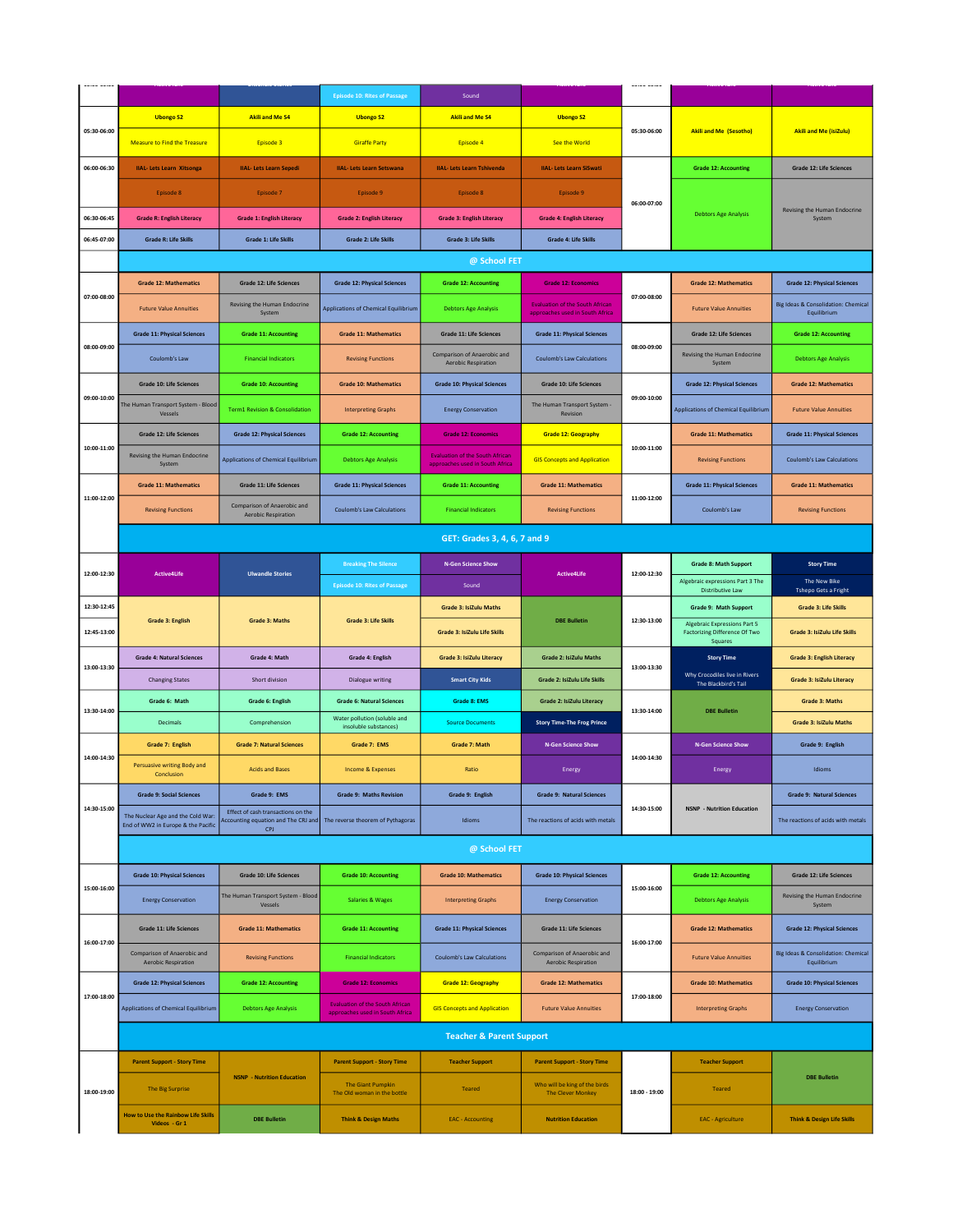|  |             |                                                                         |                                                                                  | <b>Episode 10: Rites of Passage</b>                                       | Sound                                                                     |                                                           |               |                                                                                        |                                                    |
|--|-------------|-------------------------------------------------------------------------|----------------------------------------------------------------------------------|---------------------------------------------------------------------------|---------------------------------------------------------------------------|-----------------------------------------------------------|---------------|----------------------------------------------------------------------------------------|----------------------------------------------------|
|  |             | <b>Ubongo S2</b>                                                        | <b>Akili and Me S4</b>                                                           | <b>Ubongo S2</b>                                                          | <b>Akili and Me S4</b>                                                    | <b>Ubongo S2</b>                                          |               |                                                                                        |                                                    |
|  | 05:30-06:00 | <b>Measure to Find the Treasure</b>                                     | Episode 3                                                                        | <b>Giraffe Party</b>                                                      | Episode 4                                                                 | <b>See the World</b>                                      | 05:30-06:00   | <b>Akili and Me (Sesotho)</b>                                                          | <b>Akili and Me (isiZulu)</b>                      |
|  | 06:00-06:30 | <b>IIAL-Lets Learn Xitsonga</b>                                         | <b>IIAL-Lets Learn Sepedi</b>                                                    | <b>IIAL- Lets Learn Setswana</b>                                          | <b>IIAL- Lets Learn Tshivenda</b>                                         | <b>IIAL-Lets Learn SiSwati</b>                            |               | <b>Grade 12: Accounting</b>                                                            | <b>Grade 12: Life Sciences</b>                     |
|  |             | Episode 8                                                               | Episode 7                                                                        | Episode 9                                                                 | Episode 8                                                                 | Episode 9                                                 | 06:00-07:00   |                                                                                        |                                                    |
|  | 06:30-06:45 | <b>Grade R: English Literacy</b>                                        | <b>Grade 1: English Literacy</b>                                                 | <b>Grade 2: English Literacy</b>                                          | <b>Grade 3: English Literacy</b>                                          | <b>Grade 4: English Literacy</b>                          |               | <b>Debtors Age Analysis</b>                                                            | Revising the Human Endocrine<br>System             |
|  | 06:45-07:00 | <b>Grade R: Life Skills</b>                                             | <b>Grade 1: Life Skills</b>                                                      | <b>Grade 2: Life Skills</b>                                               | <b>Grade 3: Life Skills</b>                                               | <b>Grade 4: Life Skills</b>                               |               |                                                                                        |                                                    |
|  |             |                                                                         |                                                                                  |                                                                           | @ School FET                                                              |                                                           |               |                                                                                        |                                                    |
|  |             | <b>Grade 12: Mathematics</b>                                            | Grade 12: Life Sciences                                                          | <b>Grade 12: Physical Sciences</b>                                        | <b>Grade 12: Accounting</b>                                               | <b>Grade 12: Economics</b>                                |               | <b>Grade 12: Mathematics</b>                                                           | <b>Grade 12: Physical Sciences</b>                 |
|  | 07:00-08:00 |                                                                         | <b>Revising the Human Endocrine</b>                                              |                                                                           |                                                                           | <b>Evaluation of the South African</b>                    | 07:00-08:00   |                                                                                        | Big Ideas & Consolidation: Chemical                |
|  |             | <b>Future Value Annuities</b>                                           | System                                                                           | <b>Applications of Chemical Equilibrium</b>                               | <b>Debtors Age Analysis</b>                                               | approaches used in South Africa                           |               | <b>Future Value Annuities</b>                                                          | Equilibrium                                        |
|  | 08:00-09:00 | <b>Grade 11: Physical Sciences</b>                                      | <b>Grade 11: Accounting</b>                                                      | <b>Grade 11: Mathematics</b>                                              | <b>Grade 11: Life Sciences</b>                                            | <b>Grade 11: Physical Sciences</b>                        | 08:00-09:00   | <b>Grade 12: Life Sciences</b>                                                         | <b>Grade 12: Accounting</b>                        |
|  |             | Coulomb's Law                                                           | <b>Financial Indicators</b>                                                      | <b>Revising Functions</b>                                                 | Comparison of Anaerobic and<br><b>Aerobic Respiration</b>                 | <b>Coulomb's Law Calculations</b>                         |               | Revising the Human Endocrine<br>System                                                 | <b>Debtors Age Analysis</b>                        |
|  |             | <b>Grade 10: Life Sciences</b>                                          | <b>Grade 10: Accounting</b>                                                      | <b>Grade 10: Mathematics</b>                                              | <b>Grade 10: Physical Sciences</b>                                        | <b>Grade 10: Life Sciences</b>                            |               | <b>Grade 12: Physical Sciences</b>                                                     | <b>Grade 12: Mathematics</b>                       |
|  | 09:00-10:00 | The Human Transport System - Blood<br>Vessels                           | <b>Term1 Revision &amp; Consolidation</b>                                        | <b>Interpreting Graphs</b>                                                | <b>Energy Conservation</b>                                                | The Human Transport System -<br>Revision                  | 09:00-10:00   | <b>Applications of Chemical Equilibrium</b>                                            | <b>Future Value Annuities</b>                      |
|  |             | <b>Grade 12: Life Sciences</b>                                          | <b>Grade 12: Physical Sciences</b>                                               | <b>Grade 12: Accounting</b>                                               | <b>Grade 12: Economics</b>                                                | <b>Grade 12: Geography</b>                                |               | <b>Grade 11: Mathematics</b>                                                           | <b>Grade 11: Physical Sciences</b>                 |
|  | 10:00-11:00 | Revising the Human Endocrine<br>System                                  | <b>Applications of Chemical Equilibrium</b>                                      | <b>Debtors Age Analysis</b>                                               | <b>Evaluation of the South African</b><br>approaches used in South Africa | <b>GIS Concepts and Application</b>                       | 10:00-11:00   | <b>Revising Functions</b>                                                              | <b>Coulomb's Law Calculations</b>                  |
|  |             | <b>Grade 11: Mathematics</b>                                            | <b>Grade 11: Life Sciences</b>                                                   | <b>Grade 11: Physical Sciences</b>                                        | <b>Grade 11: Accounting</b>                                               | <b>Grade 11: Mathematics</b>                              |               | <b>Grade 11: Physical Sciences</b>                                                     | <b>Grade 11: Mathematics</b>                       |
|  | 11:00-12:00 | <b>Revising Functions</b>                                               | Comparison of Anaerobic and<br><b>Aerobic Respiration</b>                        | <b>Coulomb's Law Calculations</b>                                         | <b>Financial Indicators</b>                                               | <b>Revising Functions</b>                                 | 11:00-12:00   | Coulomb's Law                                                                          | <b>Revising Functions</b>                          |
|  |             |                                                                         |                                                                                  |                                                                           | GET: Grades 3, 4, 6, 7 and 9                                              |                                                           |               |                                                                                        |                                                    |
|  | 12:00-12:30 |                                                                         |                                                                                  | <b>Breaking The Silence</b>                                               | <b>N-Gen Science Show</b>                                                 |                                                           |               | <b>Grade 8: Math Support</b>                                                           | <b>Story Time</b>                                  |
|  |             | <b>Active4Life</b>                                                      | <b>Ulwandle Stories</b>                                                          | <b>Episode 10: Rites of Passage</b>                                       | Sound                                                                     | <b>Active4Life</b>                                        | 12:00-12:30   | Algebraic expressions Part 3 The<br><b>Distributive Law</b>                            | The New Bike<br><b>Tshepo Gets a Fright</b>        |
|  | 12:30-12:45 |                                                                         |                                                                                  |                                                                           | <b>Grade 3: IsiZulu Maths</b>                                             |                                                           |               | Grade 9: Math Support                                                                  | <b>Grade 3: Life Skills</b>                        |
|  | 12:45-13:00 | <b>Grade 3: English</b>                                                 | <b>Grade 3: Maths</b>                                                            | <b>Grade 3: Life Skills</b>                                               | <b>Grade 3: IsiZulu Life Skills</b>                                       | <b>DBE Bulletin</b>                                       | 12:30-13:00   | <b>Algebraic Expressions Part 5</b><br><b>Factorizing Difference Of Two</b><br>Squares | Grade 3: IsiZulu Life Skills                       |
|  |             | <b>Grade 4: Natural Sciences</b>                                        | Grade 4: Math                                                                    | <b>Grade 4: English</b>                                                   | Grade 3: IsiZulu Literacy                                                 | <b>Grade 2: IsiZulu Maths</b>                             |               | <b>Story Time</b>                                                                      | <b>Grade 3: English Literacy</b>                   |
|  | 13:00-13:30 | <b>Changing States</b>                                                  | Short division                                                                   | Dialogue writing                                                          | <b>Smart City Kids</b>                                                    | Grade 2: IsiZulu Life Skills                              | 13:00-13:30   | Why Crocodiles live in Rivers<br>The Blackbird's Tail                                  | Grade 3: IsiZulu Literacy                          |
|  |             | Grade 6: Math                                                           | Grade 6: English                                                                 | <b>Grade 6: Natural Sciences</b>                                          | <b>Grade 8: EMS</b>                                                       | <b>Grade 2: IsiZulu Literacy</b>                          |               |                                                                                        | <b>Grade 3: Maths</b>                              |
|  | 13:30-14:00 | <b>Decimals</b>                                                         | Comprehension                                                                    | Water pollution (soluble and                                              | <b>Source Documents</b>                                                   | <b>Story Time-The Frog Prince</b>                         | 13:30-14:00   | <b>DBE Bulletin</b>                                                                    | <b>Grade 3: IsiZulu Maths</b>                      |
|  |             | Grade 7: English                                                        | <b>Grade 7: Natural Sciences</b>                                                 | insoluble substances)<br>Grade 7: EMS                                     | Grade 7: Math                                                             | <b>N-Gen Science Show</b>                                 |               | <b>N-Gen Science Show</b>                                                              | Grade 9: English                                   |
|  | 14:00-14:30 | Persuasive writing Body and<br>Conclusion                               | <b>Acids and Bases</b>                                                           | <b>Income &amp; Expenses</b>                                              | Ratio                                                                     | Energy                                                    | 14:00-14:30   | Energy                                                                                 | Idioms                                             |
|  |             | <b>Grade 9: Social Sciences</b>                                         | Grade 9: EMS                                                                     | <b>Grade 9: Maths Revision</b>                                            | Grade 9: English                                                          | <b>Grade 9: Natural Sciences</b>                          |               |                                                                                        | <b>Grade 9: Natural Sciences</b>                   |
|  | 14:30-15:00 | The Nuclear Age and the Cold War:<br>End of WW2 in Europe & the Pacific | Effect of cash transactions on the<br>Accounting equation and The CRJ and<br>CPJ | The reverse theorem of Pythagoras                                         | Idioms                                                                    | The reactions of acids with metals                        | 14:30-15:00   | <b>NSNP</b> - Nutrition Education                                                      | The reactions of acids with metals                 |
|  |             |                                                                         |                                                                                  |                                                                           | @ School FET                                                              |                                                           |               |                                                                                        |                                                    |
|  |             | <b>Grade 10: Physical Sciences</b>                                      | <b>Grade 10: Life Sciences</b>                                                   | <b>Grade 10: Accounting</b>                                               | <b>Grade 10: Mathematics</b>                                              | <b>Grade 10: Physical Sciences</b>                        |               | <b>Grade 12: Accounting</b>                                                            | <b>Grade 12: Life Sciences</b>                     |
|  | 15:00-16:00 | <b>Energy Conservation</b>                                              | The Human Transport System - Blood<br>Vessels                                    | <b>Salaries &amp; Wages</b>                                               | <b>Interpreting Graphs</b>                                                | <b>Energy Conservation</b>                                | 15:00-16:00   | <b>Debtors Age Analysis</b>                                                            | Revising the Human Endocrine<br>System             |
|  |             | <b>Grade 11: Life Sciences</b>                                          | <b>Grade 11: Mathematics</b>                                                     | <b>Grade 11: Accounting</b>                                               | <b>Grade 11: Physical Sciences</b>                                        | <b>Grade 11: Life Sciences</b>                            |               | <b>Grade 12: Mathematics</b>                                                           | <b>Grade 12: Physical Sciences</b>                 |
|  | 16:00-17:00 | Comparison of Anaerobic and<br><b>Aerobic Respiration</b>               | <b>Revising Functions</b>                                                        | <b>Financial Indicators</b>                                               | <b>Coulomb's Law Calculations</b>                                         | Comparison of Anaerobic and<br><b>Aerobic Respiration</b> | 16:00-17:00   | <b>Future Value Annuities</b>                                                          | Big Ideas & Consolidation: Chemical<br>Equilibrium |
|  |             | <b>Grade 12: Physical Sciences</b>                                      | <b>Grade 12: Accounting</b>                                                      | <b>Grade 12: Economics</b>                                                | <b>Grade 12: Geography</b>                                                | <b>Grade 12: Mathematics</b>                              |               | <b>Grade 10: Mathematics</b>                                                           | <b>Grade 10: Physical Sciences</b>                 |
|  | 17:00-18:00 | <b>Applications of Chemical Equilibrium</b>                             | <b>Debtors Age Analysis</b>                                                      | <b>Evaluation of the South African</b><br>approaches used in South Africa | <b>GIS Concepts and Application</b>                                       | <b>Future Value Annuities</b>                             | 17:00-18:00   | <b>Interpreting Graphs</b>                                                             | <b>Energy Conservation</b>                         |
|  |             |                                                                         |                                                                                  |                                                                           | <b>Teacher &amp; Parent Support</b>                                       |                                                           |               |                                                                                        |                                                    |
|  |             | <b>Parent Support - Story Time</b>                                      |                                                                                  | <b>Parent Support - Story Time</b>                                        | <b>Teacher Support</b>                                                    | <b>Parent Support - Story Time</b>                        |               | <b>Teacher Support</b>                                                                 |                                                    |
|  | 18:00-19:00 | The Big Surprise                                                        | <b>NSNP - Nutrition Education</b>                                                | <b>The Giant Pumpkin</b><br>The Old woman in the bottle                   | <b>Teared</b>                                                             | Who will be king of the birds<br><b>The Clever Monkey</b> | 18:00 - 19:00 | <b>Teared</b>                                                                          | <b>DBE Bulletin</b>                                |
|  |             | <b>How to Use the Rainbow Life Skills</b><br>Videos - Gr 1              | <b>DBE Bulletin</b>                                                              | <b>Think &amp; Design Maths</b>                                           | <b>EAC</b> - Accounting                                                   | <b>Nutrition Education</b>                                |               | <b>EAC</b> - Agriculture                                                               | <b>Think &amp; Design Life Skills</b>              |
|  |             |                                                                         |                                                                                  |                                                                           |                                                                           |                                                           |               |                                                                                        |                                                    |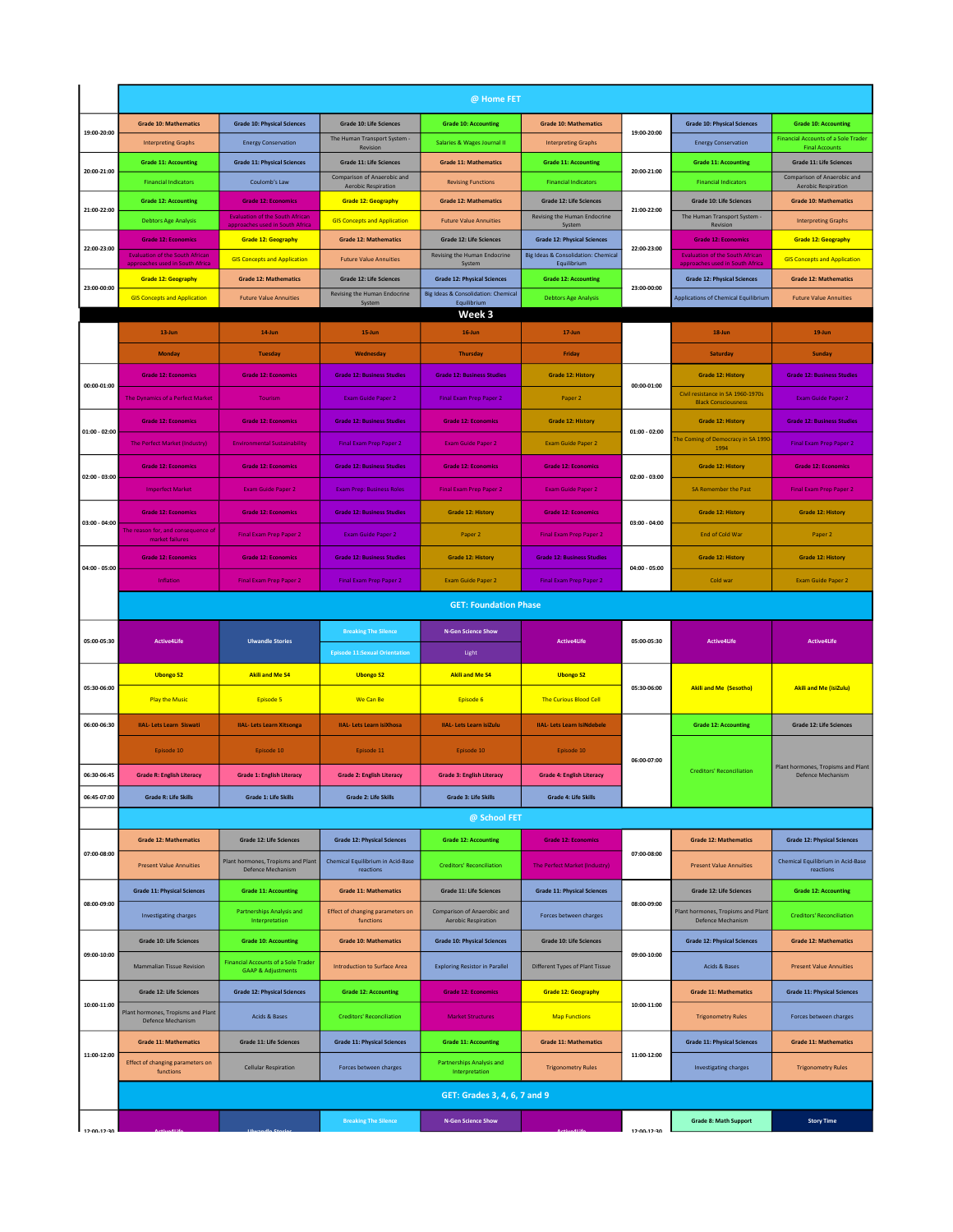|                 |                                                                                          |                                                                             |                                                                | @ Home FET                                                                |                                                                           |                 |                                                                           |                                                                     |
|-----------------|------------------------------------------------------------------------------------------|-----------------------------------------------------------------------------|----------------------------------------------------------------|---------------------------------------------------------------------------|---------------------------------------------------------------------------|-----------------|---------------------------------------------------------------------------|---------------------------------------------------------------------|
|                 | <b>Grade 10: Mathematics</b>                                                             | <b>Grade 10: Physical Sciences</b>                                          | <b>Grade 10: Life Sciences</b>                                 | <b>Grade 10: Accounting</b>                                               | <b>Grade 10: Mathematics</b>                                              |                 | <b>Grade 10: Physical Sciences</b>                                        | <b>Grade 10: Accounting</b>                                         |
| 19:00-20:00     | <b>Interpreting Graphs</b>                                                               | <b>Energy Conservation</b>                                                  | The Human Transport System<br>Revision                         | Salaries & Wages Journal II                                               | <b>Interpreting Graphs</b>                                                | 19:00-20:00     | <b>Energy Conservation</b>                                                | <b>Financial Accounts of a Sole Trader</b><br><b>Final Accounts</b> |
|                 | <b>Grade 11: Accounting</b>                                                              | <b>Grade 11: Physical Sciences</b>                                          | <b>Grade 11: Life Sciences</b>                                 | <b>Grade 11: Mathematics</b>                                              | <b>Grade 11: Accounting</b>                                               |                 | <b>Grade 11: Accounting</b>                                               | <b>Grade 11: Life Sciences</b>                                      |
| 20:00-21:00     | <b>Financial Indicators</b>                                                              | Coulomb's Law                                                               | Comparison of Anaerobic and<br><b>Aerobic Respiration</b>      | <b>Revising Functions</b>                                                 | <b>Financial Indicators</b>                                               | 20:00-21:00     | <b>Financial Indicators</b>                                               | Comparison of Anaerobic and<br><b>Aerobic Respiration</b>           |
| 21:00-22:00     | <b>Grade 12: Accounting</b>                                                              | <b>Grade 12: Economics</b>                                                  | <b>Grade 12: Geography</b>                                     | <b>Grade 12: Mathematics</b>                                              | Grade 12: Life Sciences                                                   | 21:00-22:00     | <b>Grade 10: Life Sciences</b>                                            | <b>Grade 10: Mathematics</b>                                        |
|                 | <b>Debtors Age Analysis</b>                                                              | <b>Evaluation of the South African</b><br>pproaches used in South Africa    | <b>GIS Concepts and Application</b>                            | <b>Future Value Annuities</b>                                             | Revising the Human Endocrine<br>System                                    |                 | The Human Transport System<br>Revision                                    | <b>Interpreting Graphs</b>                                          |
| 22:00-23:00     | <b>Grade 12: Economics</b>                                                               | <b>Grade 12: Geography</b>                                                  | <b>Grade 12: Mathematics</b>                                   | <b>Grade 12: Life Sciences</b><br>Revising the Human Endocrine            | <b>Grade 12: Physical Sciences</b><br>Big Ideas & Consolidation: Chemical | 22:00-23:00     | <b>Grade 12: Economics</b>                                                | <b>Grade 12: Geography</b>                                          |
|                 | <b>Evaluation of the South African</b><br>approaches used in South Afri <mark>c</mark> a | <b>GIS Concepts and Application</b>                                         | <b>Future Value Annuities</b>                                  | System                                                                    | Equilibrium                                                               |                 | <b>Evaluation of the South African</b><br>approaches used in South Africa | <b>GIS Concepts and Application</b>                                 |
| 23:00-00:00     | <b>Grade 12: Geography</b>                                                               | <b>Grade 12: Mathematics</b>                                                | <b>Grade 12: Life Sciences</b><br>Revising the Human Endocrine | <b>Grade 12: Physical Sciences</b><br>Big Ideas & Consolidation: Chemical | <b>Grade 12: Accounting</b>                                               | 23:00-00:00     | <b>Grade 12: Physical Sciences</b>                                        | <b>Grade 12: Mathematics</b>                                        |
|                 | <b>GIS Concepts and Application</b>                                                      | <b>Future Value Annuities</b>                                               | System                                                         | Equilibrium<br>Week 3                                                     | <b>Debtors Age Analysis</b>                                               |                 | <b>Applications of Chemical Equilibrium</b>                               | <b>Future Value Annuities</b>                                       |
|                 | 13-Jun                                                                                   | 14-Jun                                                                      | 15-Jun                                                         | $16$ -Jun                                                                 | $17 - Jun$                                                                |                 | 18-Jun                                                                    | $19 - Jun$                                                          |
|                 | Monday                                                                                   | <b>Tuesday</b>                                                              | Wednesday                                                      | <b>Thursday</b>                                                           | Friday                                                                    |                 | Saturday                                                                  | Sunday                                                              |
|                 | <b>Grade 12: Economics</b>                                                               | <b>Grade 12: Economics</b>                                                  | <b>Grade 12: Business Studies</b>                              | <b>Grade 12: Business Studies</b>                                         | <b>Grade 12: History</b>                                                  |                 | <b>Grade 12: History</b>                                                  | <b>Grade 12: Business Studies</b>                                   |
| 00:00-01:00     | The Dynamics of a Perfect Market                                                         | Tourism                                                                     | Exam Guide Paper 2                                             | <b>Final Exam Prep Paper 2</b>                                            | Paper 2                                                                   | 00:00-01:00     | Civil resistance in SA 1960-1970s<br><b>Black Consciousness</b>           | Exam Guide Paper 2                                                  |
|                 | <b>Grade 12: Economics</b>                                                               | <b>Grade 12: Economics</b>                                                  | <b>Grade 12: Business Studies</b>                              | <b>Grade 12: Economics</b>                                                | <b>Grade 12: History</b>                                                  |                 | <b>Grade 12: History</b>                                                  | <b>Grade 12: Business Studies</b>                                   |
| $01:00 - 02:00$ | The Perfect Market (Industry)                                                            | <b>Environmental Sustainability</b>                                         | <b>Final Exam Prep Paper 2</b>                                 | <b>Exam Guide Paper 2</b>                                                 | Exam Guide Paper 2                                                        | $01:00 - 02:00$ | he Coming of Democracy in SA 1990                                         | <b>Final Exam Prep Paper 2</b>                                      |
|                 | <b>Grade 12: Economics</b>                                                               | <b>Grade 12: Economics</b>                                                  | <b>Grade 12: Business Studies</b>                              | <b>Grade 12: Economics</b>                                                | <b>Grade 12: Economics</b>                                                |                 | 1994                                                                      | <b>Grade 12: Economics</b>                                          |
| $02:00 - 03:00$ |                                                                                          |                                                                             |                                                                |                                                                           |                                                                           | $02:00 - 03:00$ | <b>Grade 12: History</b>                                                  |                                                                     |
|                 | <b>Imperfect Market</b>                                                                  | <b>Exam Guide Paper 2</b>                                                   | <b>Exam Prep: Business Roles</b>                               | <b>Final Exam Prep Paper 2</b>                                            | <b>Exam Guide Paper 2</b>                                                 |                 | <b>SA Remember the Past</b>                                               | <b>Final Exam Prep Paper 2</b>                                      |
| $03:00 - 04:00$ | <b>Grade 12: Economics</b>                                                               | <b>Grade 12: Economics</b>                                                  | <b>Grade 12: Business Studies</b>                              | <b>Grade 12: History</b>                                                  | <b>Grade 12: Economics</b>                                                | $03:00 - 04:00$ | <b>Grade 12: History</b>                                                  | <b>Grade 12: History</b>                                            |
|                 | The reason for, and consequence of<br>market failures                                    | Final Exam Prep Paper 2                                                     | <b>Exam Guide Paper 2</b>                                      | Paper 2                                                                   | <b>Final Exam Prep Paper 2</b>                                            |                 | <b>End of Cold War</b>                                                    | Paper 2                                                             |
| 04:00 - 05:00   | <b>Grade 12: Economics</b>                                                               | <b>Grade 12: Economics</b>                                                  | <b>Grade 12: Business Studies</b>                              | <b>Grade 12: History</b>                                                  | <b>Grade 12: Business Studies</b>                                         | $04:00 - 05:00$ | <b>Grade 12: History</b>                                                  | <b>Grade 12: History</b>                                            |
|                 | Inflation                                                                                | <b>Final Exam Prep Paper 2</b>                                              | <b>Final Exam Prep Paper 2</b>                                 | <b>Exam Guide Paper 2</b>                                                 | Final Exam Prep Paper 2                                                   |                 | Cold war                                                                  | <b>Exam Guide Paper 2</b>                                           |
|                 |                                                                                          |                                                                             |                                                                |                                                                           |                                                                           |                 |                                                                           |                                                                     |
|                 |                                                                                          |                                                                             |                                                                | <b>GET: Foundation Phase</b>                                              |                                                                           |                 |                                                                           |                                                                     |
|                 |                                                                                          |                                                                             | <b>Breaking The Silence</b>                                    | <b>N-Gen Science Show</b>                                                 |                                                                           |                 |                                                                           |                                                                     |
| 05:00-05:30     | <b>Active4Life</b>                                                                       | <b>Ulwandle Stories</b>                                                     | <b>Episode 11:Sexual Orientation</b>                           | Light                                                                     | <b>Active4Life</b>                                                        | 05:00-05:30     | <b>Active4Life</b>                                                        | <b>Active4Life</b>                                                  |
|                 | <b>Ubongo S2</b>                                                                         | <b>Akili and Me S4</b>                                                      | <b>Ubongo S2</b>                                               | <b>Akili and Me S4</b>                                                    | <b>Ubongo S2</b>                                                          |                 |                                                                           |                                                                     |
| 05:30-06:00     |                                                                                          |                                                                             |                                                                |                                                                           |                                                                           | 05:30-06:00     | <b>Akili and Me (Sesotho)</b>                                             | <b>Akili and Me (isiZulu)</b>                                       |
|                 | <b>Play the Music</b>                                                                    | Episode 5                                                                   | We Can Be                                                      | Episode 6                                                                 | The Curious Blood Cell                                                    |                 |                                                                           |                                                                     |
| 06:00-06:30     | <b>IIAL-Lets Learn Siswati</b>                                                           | <b>IIAL-Lets Learn Xitsonga</b>                                             | <b>IIAL- Lets Learn isiXhosa</b>                               | <b>IIAL-Lets Learn isiZulu</b>                                            | <b>IIAL-Lets Learn IsiNdebele</b>                                         |                 | <b>Grade 12: Accounting</b>                                               | <b>Grade 12: Life Sciences</b>                                      |
|                 | Episode 10                                                                               | Episode 10                                                                  | Episode 11                                                     | Episode 10                                                                | Episode 10                                                                | 06:00-07:00     |                                                                           |                                                                     |
| 06:30-06:45     | Grade K: English Literacy                                                                | Grade 1: English Literacy                                                   | Grade 2: English Literacy                                      | Grade 3: English Literacy                                                 | Grade 4: English Literacy                                                 |                 | <b>Creditors' Reconciliation</b>                                          | Plant hormones, Tropisms and Plant<br>Defence Mechanism             |
| 06:45-07:00     | <b>Grade R: Life Skills</b>                                                              | <b>Grade 1: Life Skills</b>                                                 | <b>Grade 2: Life Skills</b>                                    | <b>Grade 3: Life Skills</b>                                               | <b>Grade 4: Life Skills</b>                                               |                 |                                                                           |                                                                     |
|                 |                                                                                          |                                                                             |                                                                | @ School FET                                                              |                                                                           |                 |                                                                           |                                                                     |
|                 | <b>Grade 12: Mathematics</b>                                                             | <b>Grade 12: Life Sciences</b>                                              | <b>Grade 12: Physical Sciences</b>                             | <b>Grade 12: Accounting</b>                                               | <b>Grade 12: Economics</b>                                                |                 | <b>Grade 12: Mathematics</b>                                              | <b>Grade 12: Physical Sciences</b>                                  |
| 07:00-08:00     | <b>Present Value Annuities</b>                                                           | Plant hormones, Tropisms and Plant<br>Defence Mechanism                     | Chemical Equilibrium in Acid-Base<br>reactions                 | <b>Creditors' Reconciliation</b>                                          | The Perfect Market (Industry)                                             | 07:00-08:00     | <b>Present Value Annuities</b>                                            | Chemical Equilibrium in Acid-Base<br>reactions                      |
|                 | <b>Grade 11: Physical Sciences</b>                                                       | <b>Grade 11: Accounting</b>                                                 | <b>Grade 11: Mathematics</b>                                   | <b>Grade 11: Life Sciences</b>                                            | <b>Grade 11: Physical Sciences</b>                                        |                 | <b>Grade 12: Life Sciences</b>                                            | <b>Grade 12: Accounting</b>                                         |
| 08:00-09:00     | <b>Investigating charges</b>                                                             | <b>Partnerships Analysis and</b>                                            | Effect of changing parameters on                               | Comparison of Anaerobic and                                               |                                                                           | 08:00-09:00     | Plant hormones, Tropisms and Plant                                        |                                                                     |
|                 |                                                                                          | Interpretation                                                              | functions                                                      | <b>Aerobic Respiration</b>                                                | Forces between charges                                                    |                 | Defence Mechanism                                                         | <b>Creditors' Reconciliation</b>                                    |
| 09:00-10:00     | <b>Grade 10: Life Sciences</b>                                                           | <b>Grade 10: Accounting</b>                                                 | <b>Grade 10: Mathematics</b>                                   | <b>Grade 10: Physical Sciences</b>                                        | Grade 10: Life Sciences                                                   | 09:00-10:00     | <b>Grade 12: Physical Sciences</b>                                        | <b>Grade 12: Mathematics</b>                                        |
|                 | <b>Mammalian Tissue Revision</b>                                                         | <b>Financial Accounts of a Sole Trader</b><br><b>GAAP &amp; Adjustments</b> | Introduction to Surface Area                                   | <b>Exploring Resistor in Parallel</b>                                     | Different Types of Plant Tissue                                           |                 | Acids & Bases                                                             | <b>Present Value Annuities</b>                                      |
|                 | Grade 12: Life Sciences                                                                  | <b>Grade 12: Physical Sciences</b>                                          | <b>Grade 12: Accounting</b>                                    | <b>Grade 12: Economics</b>                                                | <b>Grade 12: Geography</b>                                                |                 | <b>Grade 11: Mathematics</b>                                              | <b>Grade 11: Physical Sciences</b>                                  |
| 10:00-11:00     | Plant hormones, Tropisms and Plant<br>Defence Mechanism                                  | Acids & Bases                                                               | <b>Creditors' Reconciliation</b>                               | <b>Market Structures</b>                                                  | <b>Map Functions</b>                                                      | 10:00-11:00     | <b>Trigonometry Rules</b>                                                 | Forces between charges                                              |
|                 | <b>Grade 11: Mathematics</b>                                                             | Grade 11: Life Sciences                                                     | <b>Grade 11: Physical Sciences</b>                             | <b>Grade 11: Accounting</b>                                               | <b>Grade 11: Mathematics</b>                                              |                 | <b>Grade 11: Physical Sciences</b>                                        | <b>Grade 11: Mathematics</b>                                        |
| 11:00-12:00     | Effect of changing parameters on                                                         |                                                                             |                                                                | Partnerships Analysis and                                                 |                                                                           | 11:00-12:00     |                                                                           |                                                                     |
|                 | functions                                                                                | <b>Cellular Respiration</b>                                                 | Forces between charges                                         | Interpretation                                                            | <b>Trigonometry Rules</b>                                                 |                 | <b>Investigating charges</b>                                              | <b>Trigonometry Rules</b>                                           |
|                 |                                                                                          |                                                                             |                                                                | GET: Grades 3, 4, 6, 7 and 9                                              |                                                                           |                 |                                                                           |                                                                     |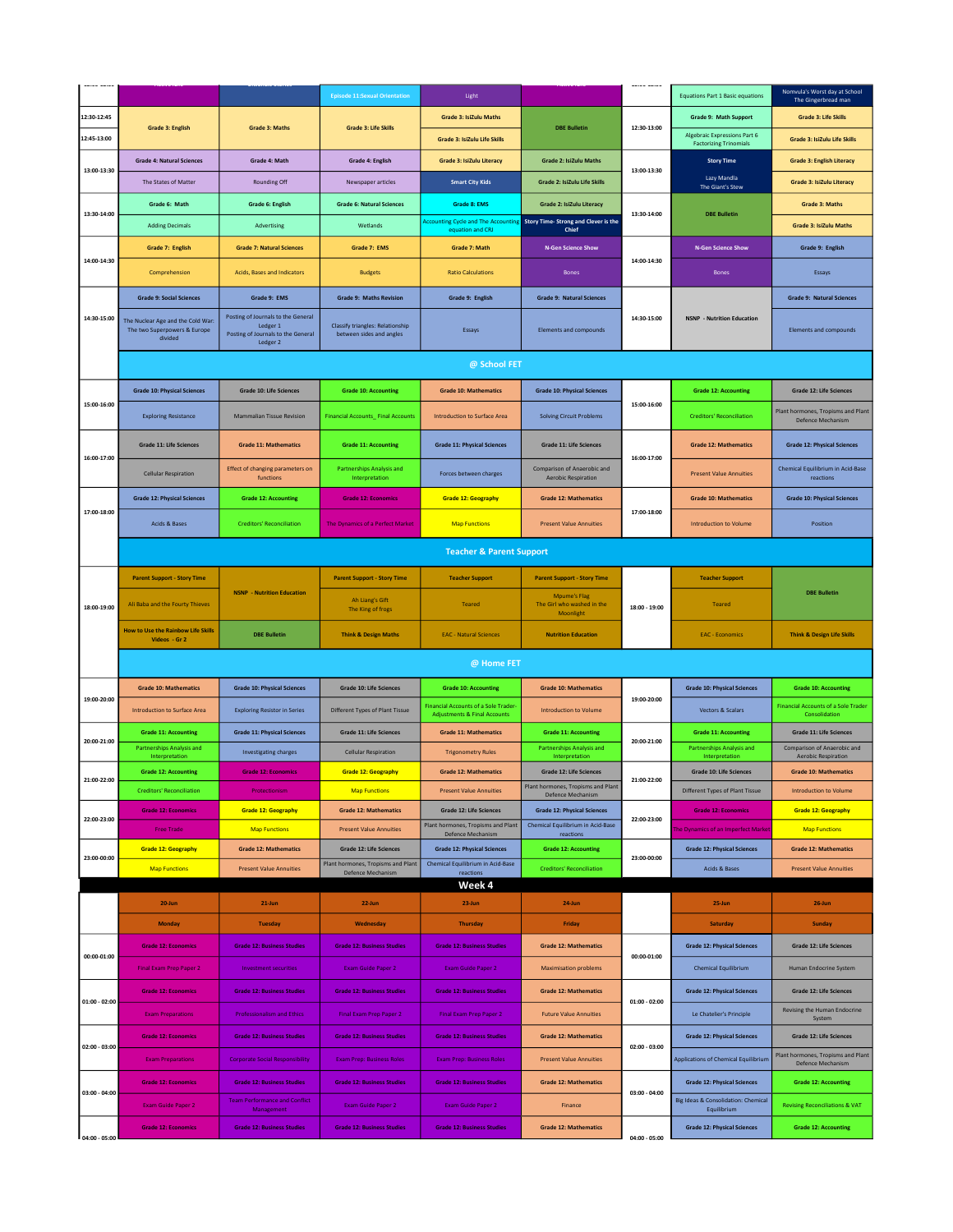|                 |                                                         |                                                                           | <b>Episode 11:Sexual Orientation</b>                                | Light                                                                          |                                                           |                 | <b>Equations Part 1 Basic equations</b>                                              | Nomvula's Worst day at School<br>The Gingerbread man                     |
|-----------------|---------------------------------------------------------|---------------------------------------------------------------------------|---------------------------------------------------------------------|--------------------------------------------------------------------------------|-----------------------------------------------------------|-----------------|--------------------------------------------------------------------------------------|--------------------------------------------------------------------------|
| 12:30-12:45     | <b>Grade 3: English</b>                                 | <b>Grade 3: Maths</b>                                                     | <b>Grade 3: Life Skills</b>                                         | <b>Grade 3: IsiZulu Maths</b>                                                  | <b>DBE Bulletin</b>                                       | 12:30-13:00     | <b>Grade 9: Math Support</b>                                                         | <b>Grade 3: Life Skills</b>                                              |
| 12:45-13:00     |                                                         |                                                                           |                                                                     | Grade 3: IsiZulu Life Skills                                                   |                                                           |                 | <b>Algebraic Expressions Part 6</b><br><b>Factorizing Trinomials</b>                 | <b>Grade 3: IsiZulu Life Skills</b>                                      |
|                 | <b>Grade 4: Natural Sciences</b>                        | Grade 4: Math                                                             | <b>Grade 4: English</b>                                             | <b>Grade 3: IsiZulu Literacy</b>                                               | <b>Grade 2: IsiZulu Maths</b>                             |                 | <b>Story Time</b>                                                                    | <b>Grade 3: English Literacy</b>                                         |
| 13:00-13:30     | The States of Matter                                    | Rounding Off                                                              | Newspaper articles                                                  | <b>Smart City Kids</b>                                                         | Grade 2: IsiZulu Life Skills                              | 13:00-13:30     | Lazy Mandla<br>The Giant's Stew                                                      | Grade 3: IsiZulu Literacy                                                |
|                 | Grade 6: Math                                           | Grade 6: English                                                          | <b>Grade 6: Natural Sciences</b>                                    | Grade 8: EMS                                                                   | <b>Grade 2: IsiZulu Literacy</b>                          |                 |                                                                                      | <b>Grade 3: Maths</b>                                                    |
| 13:30-14:00     | <b>Adding Decimals</b>                                  | Advertising                                                               | Wetlands                                                            | <b>Accounting Cycle and The Accountin</b><br>equation and CRJ                  | <b>Story Time- Strong and Clever is the</b><br>Chief      | 13:30-14:00     | <b>DBE Bulletin</b>                                                                  | <b>Grade 3: IsiZulu Maths</b>                                            |
|                 | Grade 7: English                                        | <b>Grade 7: Natural Sciences</b>                                          | Grade 7: EMS                                                        | Grade 7: Math                                                                  | <b>N-Gen Science Show</b>                                 |                 | <b>N-Gen Science Show</b>                                                            | Grade 9: English                                                         |
| 14:00-14:30     | Comprehension                                           | Acids, Bases and Indicators                                               | <b>Budgets</b>                                                      | <b>Ratio Calculations</b>                                                      | <b>Bones</b>                                              | 14:00-14:30     | <b>Bones</b>                                                                         | Essays                                                                   |
|                 | <b>Grade 9: Social Sciences</b>                         | Grade 9: EMS                                                              | <b>Grade 9: Maths Revision</b>                                      | Grade 9: English                                                               | <b>Grade 9: Natural Sciences</b>                          |                 |                                                                                      | <b>Grade 9: Natural Sciences</b>                                         |
| 14:30-15:00     | The Nuclear Age and the Cold War:                       | Posting of Journals to the General                                        |                                                                     |                                                                                |                                                           | 14:30-15:00     | <b>NSNP</b> - Nutrition Education                                                    |                                                                          |
|                 | The two Superpowers & Europe<br>divided                 | Ledger 1<br>Posting of Journals to the General<br>Ledger 2                | <b>Classify triangles: Relationship</b><br>between sides and angles | Essays                                                                         | Elements and compounds                                    |                 |                                                                                      | Elements and compounds                                                   |
|                 |                                                         |                                                                           |                                                                     | @ School FET                                                                   |                                                           |                 |                                                                                      |                                                                          |
|                 |                                                         |                                                                           |                                                                     |                                                                                |                                                           |                 |                                                                                      | <b>Grade 12: Life Sciences</b>                                           |
| 15:00-16:00     | <b>Grade 10: Physical Sciences</b>                      | <b>Grade 10: Life Sciences</b>                                            | <b>Grade 10: Accounting</b>                                         | <b>Grade 10: Mathematics</b>                                                   | <b>Grade 10: Physical Sciences</b>                        | 15:00-16:00     | <b>Grade 12: Accounting</b>                                                          |                                                                          |
|                 | <b>Exploring Resistance</b>                             | <b>Mammalian Tissue Revision</b>                                          | <b>Financial Accounts_ Final Accounts</b>                           | Introduction to Surface Area                                                   | <b>Solving Circuit Problems</b>                           |                 | <b>Creditors' Reconciliation</b>                                                     | Plant hormones, Tropisms and Plant<br>Defence Mechanism                  |
|                 | <b>Grade 11: Life Sciences</b>                          | <b>Grade 11: Mathematics</b>                                              | <b>Grade 11: Accounting</b>                                         | <b>Grade 11: Physical Sciences</b>                                             | <b>Grade 11: Life Sciences</b>                            |                 | <b>Grade 12: Mathematics</b>                                                         | <b>Grade 12: Physical Sciences</b>                                       |
| 16:00-17:00     | <b>Cellular Respiration</b>                             | Effect of changing parameters on<br>functions                             | <b>Partnerships Analysis and</b><br>Interpretation                  | Forces between charges                                                         | Comparison of Anaerobic and<br><b>Aerobic Respiration</b> | 16:00-17:00     | <b>Present Value Annuities</b>                                                       | <b>Chemical Equilibrium in Acid-Base</b><br>reactions                    |
|                 | <b>Grade 12: Physical Sciences</b>                      | <b>Grade 12: Accounting</b>                                               | <b>Grade 12: Economics</b>                                          | <b>Grade 12: Geography</b>                                                     | <b>Grade 12: Mathematics</b>                              |                 | <b>Grade 10: Mathematics</b>                                                         | <b>Grade 10: Physical Sciences</b>                                       |
| 17:00-18:00     |                                                         |                                                                           |                                                                     |                                                                                |                                                           | 17:00-18:00     | <b>Introduction to Volume</b>                                                        |                                                                          |
|                 | Acids & Bases                                           | <b>Creditors' Reconciliation</b>                                          | The Dynamics of a Perfect Market                                    | <b>Map Functions</b>                                                           | <b>Present Value Annuities</b>                            |                 |                                                                                      | Position                                                                 |
|                 |                                                         |                                                                           |                                                                     | <b>Teacher &amp; Parent Support</b>                                            |                                                           |                 |                                                                                      |                                                                          |
|                 | <b>Parent Support - Story Time</b>                      |                                                                           | <b>Parent Support - Story Time</b>                                  | <b>Teacher Support</b>                                                         | <b>Parent Support - Story Time</b>                        |                 | <b>Teacher Support</b>                                                               |                                                                          |
| 18:00-19:00     | Ali Baba and the Fourty Thieves                         | <b>NSNP - Nutrition Education</b>                                         | Ah Liang's Gift<br>The King of frogs                                | <b>Teared</b>                                                                  | <b>Mpume's Flag</b><br>The Girl who washed in the         | 18:00 - 19:00   | <b>Teared</b>                                                                        | <b>DBE Bulletin</b>                                                      |
|                 | <b>How to Use the Rainbow Life Skills</b>               | <b>DBE Bulletin</b>                                                       |                                                                     | <b>EAC - Natural Sciences</b>                                                  | Moonlight<br><b>Nutrition Education</b>                   |                 | <b>EAC - Economics</b>                                                               | <b>Think &amp; Design Life Skills</b>                                    |
|                 | Videos - Gr 2                                           |                                                                           | <b>Think &amp; Design Maths</b>                                     |                                                                                |                                                           |                 |                                                                                      |                                                                          |
|                 |                                                         |                                                                           |                                                                     | @ Home FET                                                                     |                                                           |                 |                                                                                      |                                                                          |
| 19:00-20:00     | <b>Grade 10: Mathematics</b>                            | <b>Grade 10: Physical Sciences</b>                                        | <b>Grade 10: Life Sciences</b>                                      | <b>Grade 10: Accounting</b>                                                    | <b>Grade 10: Mathematics</b>                              | 19:00-20:00     | <b>Grade 10: Physical Sciences</b>                                                   | <b>Grade 10: Accounting</b>                                              |
|                 | <b>Introduction to Surface Area</b>                     | <b>Exploring Resistor in Series</b>                                       | Different Types of Plant Tissue                                     | Financial Accounts of a Sole Trader<br><b>Adjustments &amp; Final Accounts</b> | <b>Introduction to Volume</b>                             |                 | <b>Vectors &amp; Scalars</b>                                                         | <b>Financial Accounts of a Sole Trader</b><br>Consolidation              |
| 20:00-21:00     | <b>Grade 11: Accounting</b>                             | <b>Grade 11: Physical Sciences</b>                                        | <b>Grade 11: Life Sciences</b>                                      | <b>Grade 11: Mathematics</b>                                                   | <b>Grade 11: Accounting</b>                               | 20:00-21:00     | <b>Grade 11: Accounting</b>                                                          | <b>Grade 11: Life Sciences</b>                                           |
|                 | <b>Partnerships Analysis and</b><br>Interpretation      | <b>Investigating charges</b>                                              | <b>Cellular Respiration</b>                                         | <b>Trigonometry Rules</b>                                                      | Partnerships Analysis and                                 |                 |                                                                                      | Comparison of Anaerobic and                                              |
| 21:00-22:00     | <b>Grade 12: Accounting</b>                             |                                                                           |                                                                     |                                                                                | Interpretation                                            |                 | Partnerships Analysis and<br>Interpretation                                          | <b>Aerobic Respiration</b>                                               |
|                 |                                                         | <b>Grade 12: Economics</b>                                                | <b>Grade 12: Geography</b>                                          | <b>Grade 12: Mathematics</b>                                                   | <b>Grade 12: Life Sciences</b>                            | 21:00-22:00     | <b>Grade 10: Life Sciences</b>                                                       | <b>Grade 10: Mathematics</b>                                             |
| 22:00-23:00     | <b>Creditors' Reconciliation</b>                        | Protectionism                                                             | <b>Map Functions</b>                                                | <b>Present Value Annuities</b>                                                 | Plant hormones, Tropisms and Plant<br>Defence Mechanism   |                 | <b>Different Types of Plant Tissue</b>                                               | <b>Introduction to Volume</b>                                            |
|                 | <b>Grade 12: Economics</b>                              | <b>Grade 12: Geography</b>                                                | <b>Grade 12: Mathematics</b>                                        | <b>Grade 12: Life Sciences</b>                                                 | <b>Grade 12: Physical Sciences</b>                        | 22:00-23:00     | <b>Grade 12: Economics</b>                                                           | <b>Grade 12: Geography</b>                                               |
|                 | <b>Free Trade</b>                                       | <b>Map Functions</b>                                                      | <b>Present Value Annuities</b>                                      | Plant hormones, Tropisms and Plant<br>Defence Mechanism                        | Chemical Equilibrium in Acid-Base<br>reactions            |                 | The Dynamics of an Imperfect Marke                                                   | <b>Map Functions</b>                                                     |
| 23:00-00:00     | <b>Grade 12: Geography</b>                              | <b>Grade 12: Mathematics</b>                                              | <b>Grade 12: Life Sciences</b>                                      | <b>Grade 12: Physical Sciences</b>                                             | <b>Grade 12: Accounting</b>                               | 23:00-00:00     | <b>Grade 12: Physical Sciences</b>                                                   | <b>Grade 12: Mathematics</b>                                             |
|                 | <b>Map Functions</b>                                    | <b>Present Value Annuities</b>                                            | Plant hormones, Tropisms and Plant<br>Defence Mechanism             | Chemical Equilibrium in Acid-Base<br>reactions                                 | <b>Creditors' Reconciliation</b>                          |                 | Acids & Bases                                                                        | <b>Present Value Annuities</b>                                           |
|                 | $20 - Jun$                                              | $21$ -Jun                                                                 | 22-Jun                                                              | Week 4<br>23-Jun                                                               | 24-Jun                                                    |                 | 25-Jun                                                                               | 26-Jun                                                                   |
|                 | <b>Monday</b>                                           | <b>Tuesday</b>                                                            | Wednesday                                                           | <b>Thursday</b>                                                                | Friday                                                    |                 | Saturday                                                                             | Sunday                                                                   |
|                 | <b>Grade 12: Economics</b>                              | <b>Grade 12: Business Studies</b>                                         | <b>Grade 12: Business Studies</b>                                   | <b>Grade 12: Business Studies</b>                                              | <b>Grade 12: Mathematics</b>                              |                 | <b>Grade 12: Physical Sciences</b>                                                   | Grade 12: Life Sciences                                                  |
| 00:00-01:00     | Final Exam Prep Paper 2                                 | <b>Investment securities</b>                                              | <b>Exam Guide Paper 2</b>                                           | <b>Exam Guide Paper 2</b>                                                      | <b>Maximisation problems</b>                              | 00:00-01:00     | <b>Chemical Equilibrium</b>                                                          | Human Endocrine System                                                   |
|                 | <b>Grade 12: Economics</b>                              | <b>Grade 12: Business Studies</b>                                         | <b>Grade 12: Business Studies</b>                                   | <b>Grade 12: Business Studies</b>                                              | <b>Grade 12: Mathematics</b>                              |                 | <b>Grade 12: Physical Sciences</b>                                                   | <b>Grade 12: Life Sciences</b>                                           |
| $01:00 - 02:00$ | <b>Exam Preparations</b>                                | <b>Professionalism and Ethics</b>                                         | Final Exam Prep Paper 2                                             | Final Exam Prep Paper 2                                                        | <b>Future Value Annuities</b>                             | $01:00 - 02:00$ | Le Chatelier's Principle                                                             | Revising the Human Endocrine                                             |
|                 | <b>Grade 12: Economics</b>                              | <b>Grade 12: Business Studies</b>                                         | <b>Grade 12: Business Studies</b>                                   | <b>Grade 12: Business Studies</b>                                              | <b>Grade 12: Mathematics</b>                              |                 | <b>Grade 12: Physical Sciences</b>                                                   | System<br><b>Grade 12: Life Sciences</b>                                 |
| $02:00 - 03:00$ |                                                         |                                                                           | <b>Exam Prep: Business Roles</b>                                    | <b>Exam Prep: Business Roles</b>                                               | <b>Present Value Annuities</b>                            | $02:00 - 03:00$ |                                                                                      | Plant hormones, Tropisms and Plant                                       |
|                 | <b>Exam Preparations</b>                                | <b>Corporate Social Responsibility</b>                                    |                                                                     |                                                                                |                                                           |                 | <b>Applications of Chemical Equilibrium</b>                                          | <b>Defence Mechanism</b>                                                 |
| 03:00 - 04:00   | <b>Grade 12: Economics</b>                              | <b>Grade 12: Business Studies</b><br><b>Team Performance and Conflict</b> | <b>Grade 12: Business Studies</b>                                   | <b>Grade 12: Business Studies</b>                                              | <b>Grade 12: Mathematics</b>                              | $03:00 - 04:00$ | <b>Grade 12: Physical Sciences</b><br><b>Big Ideas &amp; Consolidation: Chemical</b> | <b>Grade 12: Accounting</b>                                              |
|                 | <b>Exam Guide Paper 2</b><br><b>Grade 12: Economics</b> | Management<br><b>Grade 12: Business Studies</b>                           | Exam Guide Paper 2<br><b>Grade 12: Business Studies</b>             | Exam Guide Paper 2<br><b>Grade 12: Business Studies</b>                        | Finance<br><b>Grade 12: Mathematics</b>                   |                 | Equilibrium<br><b>Grade 12: Physical Sciences</b>                                    | <b>Revising Reconciliations &amp; VAT</b><br><b>Grade 12: Accounting</b> |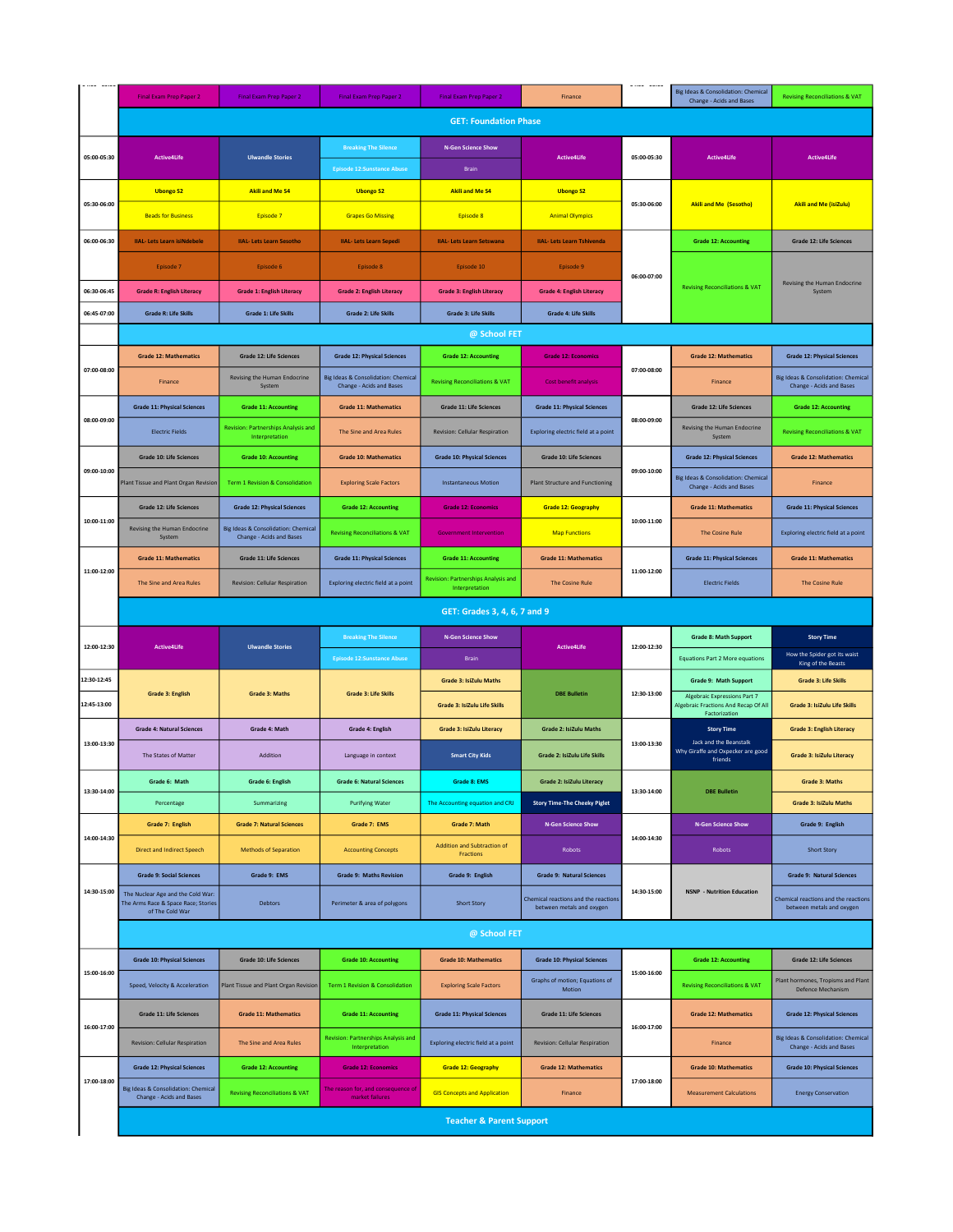|             | Final Exam Prep Paper 2                                                                     | Final Exam Prep Paper 2                                         | Final Exam Prep Paper 2                                                | <b>Final Exam Prep Paper 2</b>                               | Finance                                                           |             | Big Ideas & Consolidation: Chemical<br>Change - Acids and Bases        | <b>Revising Reconciliations &amp; VAT</b>                              |
|-------------|---------------------------------------------------------------------------------------------|-----------------------------------------------------------------|------------------------------------------------------------------------|--------------------------------------------------------------|-------------------------------------------------------------------|-------------|------------------------------------------------------------------------|------------------------------------------------------------------------|
|             |                                                                                             |                                                                 |                                                                        | <b>GET: Foundation Phase</b>                                 |                                                                   |             |                                                                        |                                                                        |
| 05:00-05:30 | <b>Active4Life</b>                                                                          | <b>Ulwandle Stories</b>                                         | <b>Breaking The Silence</b>                                            | <b>N-Gen Science Show</b>                                    | <b>Active4Life</b>                                                | 05:00-05:30 | <b>Active4Life</b>                                                     | <b>Active4Life</b>                                                     |
| 05:30-06:00 | <b>Ubongo S2</b>                                                                            | <b>Akili and Me S4</b>                                          | <b>Episode 12:Sunstance Abuse</b><br><b>Ubongo S2</b>                  | Brain<br><b>Akili and Me S4</b>                              | <b>Ubongo S2</b>                                                  | 05:30-06:00 | <b>Akili and Me (Sesotho)</b>                                          | <b>Akili and Me (isiZulu)</b>                                          |
|             | <b>Beads for Business</b>                                                                   | Episode 7                                                       | <b>Grapes Go Missing</b>                                               | Episode 8                                                    | <b>Animal Olympics</b>                                            |             |                                                                        |                                                                        |
| 06:00-06:30 | <b>IIAL- Lets Learn isiNdebele</b>                                                          | <b>IIAL- Lets Learn Sesotho</b>                                 | <b>IIAL-Lets Learn Sepedi</b>                                          | <b>IIAL-Lets Learn Setswana</b>                              | <b>IIAL- Lets Learn Tshivenda</b>                                 |             | <b>Grade 12: Accounting</b>                                            | <b>Grade 12: Life Sciences</b>                                         |
|             | Episode 7                                                                                   | Episode 6                                                       | Episode 8                                                              | Episode 10                                                   | Episode 9                                                         | 06:00-07:00 | <b>Revising Reconciliations &amp; VAT</b>                              |                                                                        |
| 06:30-06:45 | <b>Grade R: English Literacy</b>                                                            | <b>Grade 1: English Literacy</b>                                | <b>Grade 2: English Literacy</b>                                       | <b>Grade 3: English Literacy</b>                             | <b>Grade 4: English Literacy</b>                                  |             |                                                                        | Revising the Human Endocrine<br>System                                 |
| 06:45-07:00 | <b>Grade R: Life Skills</b>                                                                 | <b>Grade 1: Life Skills</b>                                     | <b>Grade 2: Life Skills</b>                                            | <b>Grade 3: Life Skills</b>                                  | <b>Grade 4: Life Skills</b>                                       |             |                                                                        |                                                                        |
|             |                                                                                             |                                                                 |                                                                        | @ School FET                                                 |                                                                   |             |                                                                        |                                                                        |
| 07:00-08:00 | <b>Grade 12: Mathematics</b>                                                                | Grade 12: Life Sciences                                         | <b>Grade 12: Physical Sciences</b>                                     | <b>Grade 12: Accounting</b>                                  | <b>Grade 12: Economics</b>                                        | 07:00-08:00 | <b>Grade 12: Mathematics</b>                                           | <b>Grade 12: Physical Sciences</b>                                     |
|             | Finance                                                                                     | <b>Revising the Human Endocrine</b><br>System                   | Big Ideas & Consolidation: Chemical<br><b>Change - Acids and Bases</b> | <b>Revising Reconciliations &amp; VAT</b>                    | Cost benefit analysis                                             |             | Finance                                                                | Big Ideas & Consolidation: Chemical<br><b>Change - Acids and Bases</b> |
| 08:00-09:00 | <b>Grade 11: Physical Sciences</b>                                                          | <b>Grade 11: Accounting</b>                                     | <b>Grade 11: Mathematics</b>                                           | <b>Grade 11: Life Sciences</b>                               | <b>Grade 11: Physical Sciences</b>                                | 08:00-09:00 | <b>Grade 12: Life Sciences</b>                                         | <b>Grade 12: Accounting</b>                                            |
|             | <b>Electric Fields</b>                                                                      | <b>Revision: Partnerships Analysis and</b><br>Interpretation    | The Sine and Area Rules                                                | <b>Revision: Cellular Respiration</b>                        | Exploring electric field at a point                               |             | Revising the Human Endocrine<br>System                                 | <b>Revising Reconciliations &amp; VAT</b>                              |
| 09:00-10:00 | <b>Grade 10: Life Sciences</b>                                                              | <b>Grade 10: Accounting</b>                                     | <b>Grade 10: Mathematics</b>                                           | <b>Grade 10: Physical Sciences</b>                           | <b>Grade 10: Life Sciences</b>                                    | 09:00-10:00 | <b>Grade 12: Physical Sciences</b>                                     | <b>Grade 12: Mathematics</b>                                           |
|             | Plant Tissue and Plant Organ Revision                                                       | <b>Term 1 Revision &amp; Consolidation</b>                      | <b>Exploring Scale Factors</b>                                         | <b>Instantaneous Motion</b>                                  | <b>Plant Structure and Functioning</b>                            |             | Big Ideas & Consolidation: Chemical<br><b>Change - Acids and Bases</b> | Finance                                                                |
|             | Grade 12: Life Sciences                                                                     | <b>Grade 12: Physical Sciences</b>                              | <b>Grade 12: Accounting</b>                                            | <b>Grade 12: Economics</b>                                   | <b>Grade 12: Geography</b>                                        |             | <b>Grade 11: Mathematics</b>                                           | <b>Grade 11: Physical Sciences</b>                                     |
| 10:00-11:00 | Revising the Human Endocrine<br>System                                                      | Big Ideas & Consolidation: Chemical<br>Change - Acids and Bases | <b>Revising Reconciliations &amp; VAT</b>                              | <b>Government Intervention</b>                               | <b>Map Functions</b>                                              | 10:00-11:00 | <b>The Cosine Rule</b>                                                 | Exploring electric field at a point                                    |
| 11:00-12:00 | <b>Grade 11: Mathematics</b>                                                                | Grade 11: Life Sciences                                         | <b>Grade 11: Physical Sciences</b>                                     | <b>Grade 11: Accounting</b>                                  | <b>Grade 11: Mathematics</b>                                      | 11:00-12:00 | <b>Grade 11: Physical Sciences</b>                                     | <b>Grade 11: Mathematics</b>                                           |
|             | The Sine and Area Rules                                                                     | Revision: Cellular Respiration                                  | Exploring electric field at a point                                    | <b>Revision: Partnerships Analysis and</b><br>Interpretation | <b>The Cosine Rule</b>                                            |             | <b>Electric Fields</b>                                                 | The Cosine Rule                                                        |
|             |                                                                                             |                                                                 |                                                                        | GET: Grades 3, 4, 6, 7 and 9                                 |                                                                   |             |                                                                        |                                                                        |
| 12:00-12:30 | <b>Active4Life</b>                                                                          | <b>Ulwandle Stories</b>                                         | <b>Breaking The Silence</b>                                            | <b>N-Gen Science Show</b>                                    | <b>Active4Life</b>                                                | 12:00-12:30 | <b>Grade 8: Math Support</b>                                           | <b>Story Time</b>                                                      |
|             |                                                                                             |                                                                 | Episode 12:Sunstance Abuse                                             | Brain                                                        |                                                                   |             | <b>Equations Part 2 More equations</b>                                 | How the Spider got its waist<br>King of the Beasts                     |
| 12:30-12:45 | <b>Grade 3: English</b>                                                                     | <b>Grade 3: Maths</b>                                           | <b>Grade 3: Life Skills</b>                                            | <b>Grade 3: IsiZulu Maths</b>                                | <b>DBE Bulletin</b>                                               | 12:30-13:00 | Grade 9: Math Support<br><b>Algebraic Expressions Part 7</b>           | <b>Grade 3: Life Skills</b>                                            |
| 12:45-13:00 |                                                                                             |                                                                 |                                                                        | Grade 3: IsiZulu Life Skills                                 |                                                                   |             | Algebraic Fractions And Recap Of All<br>Factorization                  | Grade 3: IsiZulu Life Skills                                           |
| 13:00-13:30 | <b>Grade 4: Natural Sciences</b>                                                            | Grade 4: Math                                                   | <b>Grade 4: English</b>                                                | Grade 3: IsiZulu Literacy                                    | Grade 2: IsiZulu Maths                                            | 13:00-13:30 | <b>Story Time</b><br>Jack and the Beanstalk                            | <b>Grade 3: English Literacy</b>                                       |
|             | The States of Matter                                                                        | Addition                                                        | Language in context                                                    | <b>Smart City Kids</b>                                       | Grade 2: IsiZulu Life Skills                                      |             | Why Giraffe and Oxpecker are good<br>friends                           | <b>Grade 3: IsiZulu Literacy</b>                                       |
| 13:30-14:00 | Grade 6: Math                                                                               | Grade 6: English                                                | <b>Grade 6: Natural Sciences</b>                                       | Grade 8: EMS                                                 | Grade 2: IsiZulu Literacy                                         | 13:30-14:00 | <b>DBE Bulletin</b>                                                    | Grade 3: Maths                                                         |
|             | Percentage                                                                                  | Summarizing                                                     | <b>Purifying Water</b>                                                 | The Accounting equation and CRJ                              | <b>Story Time-The Cheeky Piglet</b>                               |             |                                                                        | <b>Grade 3: IsiZulu Maths</b>                                          |
| 14:00-14:30 | Grade 7: English                                                                            | <b>Grade 7: Natural Sciences</b>                                | Grade 7: EMS                                                           | Grade 7: Math<br><b>Addition and Subtraction of</b>          | <b>N-Gen Science Show</b>                                         | 14:00-14:30 | <b>N-Gen Science Show</b>                                              | Grade 9: English                                                       |
|             | <b>Direct and Indirect Speech</b>                                                           | <b>Methods of Separation</b>                                    | <b>Accounting Concepts</b>                                             | Fractions                                                    | Robots                                                            |             | Robots                                                                 | <b>Short Story</b>                                                     |
| 14:30-15:00 | <b>Grade 9: Social Sciences</b>                                                             | Grade 9: EMS                                                    | Grade 9: Maths Revision                                                | Grade 9: English                                             | <b>Grade 9: Natural Sciences</b>                                  | 14:30-15:00 | <b>NSNP</b> - Nutrition Education                                      | <b>Grade 9: Natural Sciences</b>                                       |
|             | The Nuclear Age and the Cold War:<br>The Arms Race & Space Race; Stories<br>of The Cold War | <b>Debtors</b>                                                  | Perimeter & area of polygons                                           | <b>Short Story</b>                                           | Chemical reactions and the reactions<br>between metals and oxygen |             |                                                                        | Chemical reactions and the reactions<br>between metals and oxygen      |
|             |                                                                                             |                                                                 |                                                                        | @ School FET                                                 |                                                                   |             |                                                                        |                                                                        |
|             | <b>Grade 10: Physical Sciences</b>                                                          | Grade 10: Life Sciences                                         | <b>Grade 10: Accounting</b>                                            | <b>Grade 10: Mathematics</b>                                 | <b>Grade 10: Physical Sciences</b>                                |             | <b>Grade 12: Accounting</b>                                            | <b>Grade 12: Life Sciences</b>                                         |
| 15:00-16:00 | Speed, Velocity & Acceleration                                                              | Plant Tissue and Plant Organ Revision                           | Term 1 Revision & Consolidation                                        | <b>Exploring Scale Factors</b>                               | Graphs of motion; Equations of<br>Motion                          | 15:00-16:00 | <b>Revising Reconciliations &amp; VAT</b>                              | Plant hormones, Tropisms and Plant<br>Defence Mechanism                |
|             | Grade 11: Life Sciences                                                                     | <b>Grade 11: Mathematics</b>                                    | <b>Grade 11: Accounting</b>                                            | <b>Grade 11: Physical Sciences</b>                           | Grade 11: Life Sciences                                           |             | <b>Grade 12: Mathematics</b>                                           | <b>Grade 12: Physical Sciences</b>                                     |
| 16:00-17:00 |                                                                                             |                                                                 |                                                                        |                                                              |                                                                   | 16:00-17:00 |                                                                        | Big Ideas & Consolidation: Chemical                                    |
|             | Revision: Cellular Respiration                                                              | The Sine and Area Rules                                         | <b>Revision: Partnerships Analysis and</b><br>Interpretation           | Exploring electric field at a point                          | Revision: Cellular Respiration                                    |             | Finance                                                                | Change - Acids and Bases                                               |
|             | <b>Grade 12: Physical Sciences</b>                                                          | <b>Grade 12: Accounting</b>                                     | <b>Grade 12: Economics</b>                                             | <b>Grade 12: Geography</b>                                   | <b>Grade 12: Mathematics</b>                                      |             | <b>Grade 10: Mathematics</b>                                           | <b>Grade 10: Physical Sciences</b>                                     |
| 17:00-18:00 | Big Ideas & Consolidation: Chemical<br>Change - Acids and Bases                             | <b>Revising Reconciliations &amp; VAT</b>                       | The reason for, and consequence of<br>market failures                  | <b>GIS Concepts and Application</b>                          | Finance                                                           | 17:00-18:00 | <b>Measurement Calculations</b>                                        | <b>Energy Conservation</b>                                             |